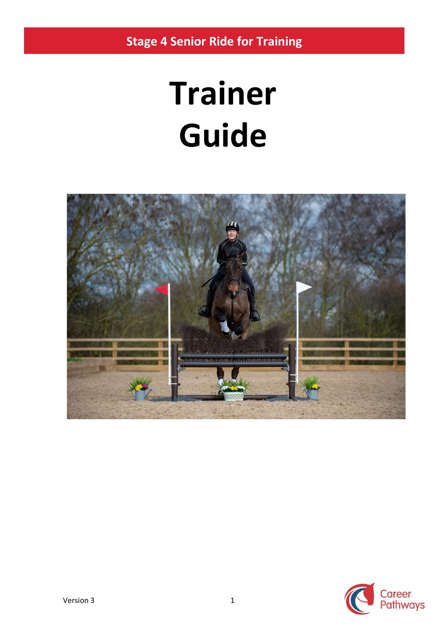**Stage 4 Senior Ride for Training**

# **Trainer Guide**



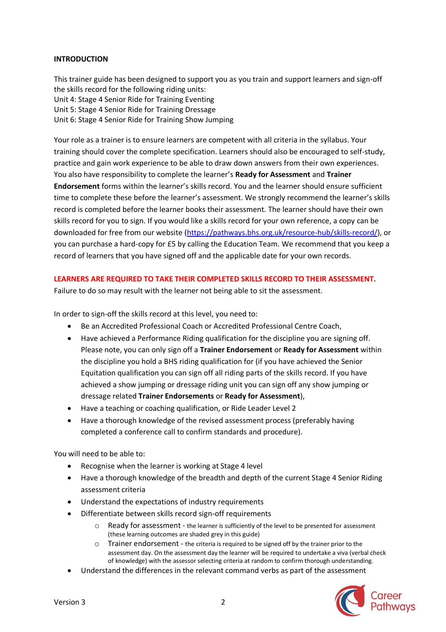#### **INTRODUCTION**

This trainer guide has been designed to support you as you train and support learners and sign-off the skills record for the following riding units: Unit 4: Stage 4 Senior Ride for Training Eventing Unit 5: Stage 4 Senior Ride for Training Dressage Unit 6: Stage 4 Senior Ride for Training Show Jumping

Your role as a trainer is to ensure learners are competent with all criteria in the syllabus. Your training should cover the complete specification. Learners should also be encouraged to self-study, practice and gain work experience to be able to draw down answers from their own experiences. You also have responsibility to complete the learner's **Ready for Assessment** and **Trainer Endorsement** forms within the learner's skills record. You and the learner should ensure sufficient time to complete these before the learner's assessment. We strongly recommend the learner's skills record is completed before the learner books their assessment. The learner should have their own skills record for you to sign. If you would like a skills record for your own reference, a copy can be downloaded for free from our website [\(https://pathways.bhs.org.uk/resource-hub/skills-record/\)](https://pathways.bhs.org.uk/resource-hub/skills-record/), or you can purchase a hard-copy for £5 by calling the Education Team. We recommend that you keep a record of learners that you have signed off and the applicable date for your own records.

#### **LEARNERS ARE REQUIRED TO TAKE THEIR COMPLETED SKILLS RECORD TO THEIR ASSESSMENT.**

Failure to do so may result with the learner not being able to sit the assessment.

In order to sign-off the skills record at this level, you need to:

- Be an Accredited Professional Coach or Accredited Professional Centre Coach,
- Have achieved a Performance Riding qualification for the discipline you are signing off. Please note, you can only sign off a **Trainer Endorsement** or **Ready for Assessment** within the discipline you hold a BHS riding qualification for (if you have achieved the Senior Equitation qualification you can sign off all riding parts of the skills record. If you have achieved a show jumping or dressage riding unit you can sign off any show jumping or dressage related **Trainer Endorsements** or **Ready for Assessment**),
- Have a teaching or coaching qualification, or Ride Leader Level 2
- Have a thorough knowledge of the revised assessment process (preferably having completed a conference call to confirm standards and procedure).

You will need to be able to:

- Recognise when the learner is working at Stage 4 level
- Have a thorough knowledge of the breadth and depth of the current Stage 4 Senior Riding assessment criteria
- Understand the expectations of industry requirements
- Differentiate between skills record sign-off requirements
	- o Ready for assessment the learner is sufficiently of the level to be presented for assessment (these learning outcomes are shaded grey in this guide)
	- o Trainer endorsement the criteria is required to be signed off by the trainer prior to the assessment day. On the assessment day the learner will be required to undertake a viva (verbal check of knowledge) with the assessor selecting criteria at random to confirm thorough understanding.
- Understand the differences in the relevant command verbs as part of the assessment

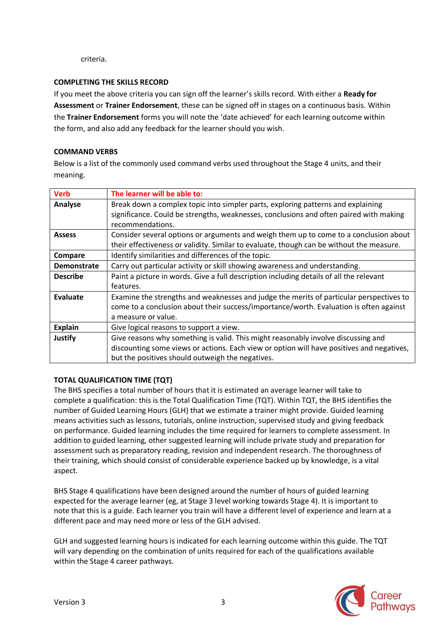criteria.

#### **COMPLETING THE SKILLS RECORD**

If you meet the above criteria you can sign off the learner's skills record. With either a **Ready for Assessment** or **Trainer Endorsement**, these can be signed off in stages on a continuous basis. Within the **Trainer Endorsement** forms you will note the 'date achieved' for each learning outcome within the form, and also add any feedback for the learner should you wish.

#### **COMMAND VERBS**

Below is a list of the commonly used command verbs used throughout the Stage 4 units, and their meaning.

| <b>Verb</b>        | The learner will be able to:                                                              |
|--------------------|-------------------------------------------------------------------------------------------|
| Analyse            | Break down a complex topic into simpler parts, exploring patterns and explaining          |
|                    | significance. Could be strengths, weaknesses, conclusions and often paired with making    |
|                    | recommendations.                                                                          |
| <b>Assess</b>      | Consider several options or arguments and weigh them up to come to a conclusion about     |
|                    | their effectiveness or validity. Similar to evaluate, though can be without the measure.  |
| Compare            | Identify similarities and differences of the topic.                                       |
| <b>Demonstrate</b> | Carry out particular activity or skill showing awareness and understanding.               |
| <b>Describe</b>    | Paint a picture in words. Give a full description including details of all the relevant   |
|                    | features.                                                                                 |
| Evaluate           | Examine the strengths and weaknesses and judge the merits of particular perspectives to   |
|                    | come to a conclusion about their success/importance/worth. Evaluation is often against    |
|                    | a measure or value.                                                                       |
| <b>Explain</b>     | Give logical reasons to support a view.                                                   |
| Justify            | Give reasons why something is valid. This might reasonably involve discussing and         |
|                    | discounting some views or actions. Each view or option will have positives and negatives, |
|                    | but the positives should outweigh the negatives.                                          |

#### **TOTAL QUALIFICATION TIME (TQT)**

The BHS specifies a total number of hours that it is estimated an average learner will take to complete a qualification: this is the Total Qualification Time (TQT). Within TQT, the BHS identifies the number of Guided Learning Hours (GLH) that we estimate a trainer might provide. Guided learning means activities such as lessons, tutorials, online instruction, supervised study and giving feedback on performance. Guided learning includes the time required for learners to complete assessment. In addition to guided learning, other suggested learning will include private study and preparation for assessment such as preparatory reading, revision and independent research. The thoroughness of their training, which should consist of considerable experience backed up by knowledge, is a vital aspect.

BHS Stage 4 qualifications have been designed around the number of hours of guided learning expected for the average learner (eg, at Stage 3 level working towards Stage 4). It is important to note that this is a guide. Each learner you train will have a different level of experience and learn at a different pace and may need more or less of the GLH advised.

GLH and suggested learning hours is indicated for each learning outcome within this guide. The TQT will vary depending on the combination of units required for each of the qualifications available within the Stage 4 career pathways.

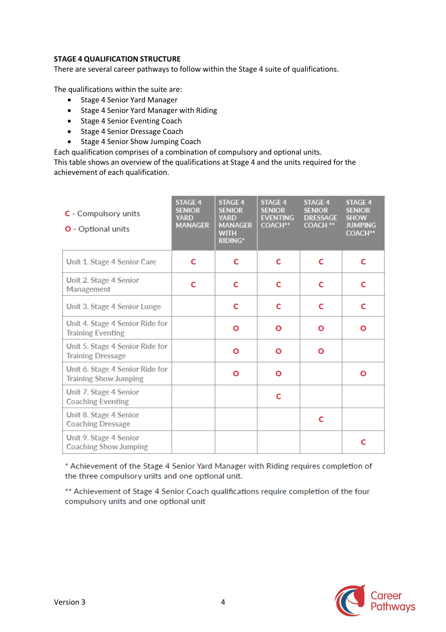#### **STAGE 4 QUALIFICATION STRUCTURE**

There are several career pathways to follow within the Stage 4 suite of qualifications.

The qualifications within the suite are:

- Stage 4 Senior Yard Manager
- Stage 4 Senior Yard Manager with Riding
- Stage 4 Senior Eventing Coach
- Stage 4 Senior Dressage Coach
- Stage 4 Senior Show Jumping Coach

Each qualification comprises of a combination of compulsory and optional units.

This table shows an overview of the qualifications at Stage 4 and the units required for the achievement of each qualification.

| C - Compulsory units<br><b>O</b> - Optional units               | <b>STAGE 4</b><br><b>SENIOR</b><br><b>YARD</b><br><b>MANAGER</b> | <b>STAGE 4</b><br><b>SENIOR</b><br><b>YARD</b><br><b>MANAGER</b><br><b>WITH</b><br><b>RIDING*</b> | <b>STAGE 4</b><br><b>SENIOR</b><br><b>EVENTING</b><br><b>COACH**</b> | <b>STAGE 4</b><br><b>SENIOR</b><br><b>DRESSAGE</b><br><b>COACH **</b> | <b>STAGE 4</b><br><b>SENIOR</b><br><b>SHOW</b><br><b>JUMPING</b><br><b>COACH**</b> |
|-----------------------------------------------------------------|------------------------------------------------------------------|---------------------------------------------------------------------------------------------------|----------------------------------------------------------------------|-----------------------------------------------------------------------|------------------------------------------------------------------------------------|
| Unit 1. Stage 4 Senior Care                                     | C                                                                | C                                                                                                 | c                                                                    | C                                                                     | C                                                                                  |
| Unit 2. Stage 4 Senior<br>Management                            | C                                                                | С                                                                                                 | c                                                                    | C                                                                     | C                                                                                  |
| Unit 3. Stage 4 Senior Lunge                                    |                                                                  | C                                                                                                 | c                                                                    | C                                                                     | C                                                                                  |
| Unit 4. Stage 4 Senior Ride for<br><b>Training Eventing</b>     |                                                                  | Ο                                                                                                 | Ο                                                                    | O                                                                     | Ο                                                                                  |
| Unit 5. Stage 4 Senior Ride for<br><b>Training Dressage</b>     |                                                                  | Ο                                                                                                 | Ο                                                                    | Ο                                                                     |                                                                                    |
| Unit 6. Stage 4 Senior Ride for<br><b>Training Show Jumping</b> |                                                                  | Ο                                                                                                 | Ο                                                                    |                                                                       | $\mathbf{o}$                                                                       |
| Unit 7. Stage 4 Senior<br><b>Coaching Eventing</b>              |                                                                  |                                                                                                   | С                                                                    |                                                                       |                                                                                    |
| Unit 8. Stage 4 Senior<br><b>Coaching Dressage</b>              |                                                                  |                                                                                                   |                                                                      | c                                                                     |                                                                                    |
| Unit 9. Stage 4 Senior<br><b>Coaching Show Jumping</b>          |                                                                  |                                                                                                   |                                                                      |                                                                       | c                                                                                  |

\* Achievement of the Stage 4 Senior Yard Manager with Riding requires completion of the three compulsory units and one optional unit.

\*\* Achievement of Stage 4 Senior Coach qualifications require completion of the four compulsory units and one optional unit

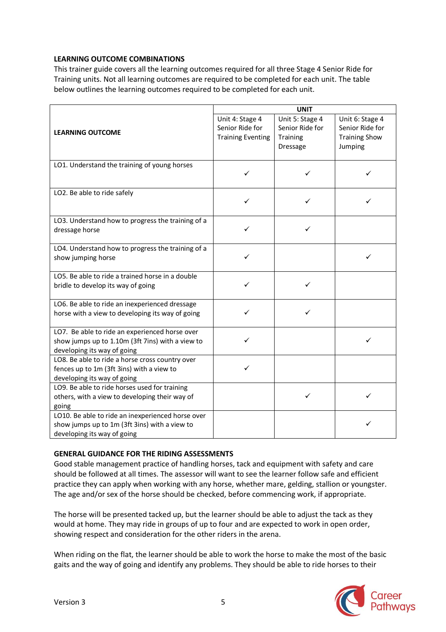#### **LEARNING OUTCOME COMBINATIONS**

This trainer guide covers all the learning outcomes required for all three Stage 4 Senior Ride for Training units. Not all learning outcomes are required to be completed for each unit. The table below outlines the learning outcomes required to be completed for each unit.

|                                                                                                                                   | <b>UNIT</b>                                                    |                                                                          |                                                                       |
|-----------------------------------------------------------------------------------------------------------------------------------|----------------------------------------------------------------|--------------------------------------------------------------------------|-----------------------------------------------------------------------|
| <b>LEARNING OUTCOME</b>                                                                                                           | Unit 4: Stage 4<br>Senior Ride for<br><b>Training Eventing</b> | Unit 5: Stage 4<br>Senior Ride for<br><b>Training</b><br><b>Dressage</b> | Unit 6: Stage 4<br>Senior Ride for<br><b>Training Show</b><br>Jumping |
| LO1. Understand the training of young horses                                                                                      | ✓                                                              | ✓                                                                        |                                                                       |
| LO2. Be able to ride safely                                                                                                       | ✓                                                              | ✓                                                                        |                                                                       |
| LO3. Understand how to progress the training of a<br>dressage horse                                                               | ✓                                                              | ✓                                                                        |                                                                       |
| LO4. Understand how to progress the training of a<br>show jumping horse                                                           | ✓                                                              |                                                                          |                                                                       |
| LO5. Be able to ride a trained horse in a double<br>bridle to develop its way of going                                            | ✓                                                              | ✓                                                                        |                                                                       |
| LO6. Be able to ride an inexperienced dressage<br>horse with a view to developing its way of going                                | ✓                                                              | ✓                                                                        |                                                                       |
| LO7. Be able to ride an experienced horse over<br>show jumps up to 1.10m (3ft 7ins) with a view to<br>developing its way of going | ✓                                                              |                                                                          |                                                                       |
| LO8. Be able to ride a horse cross country over<br>fences up to 1m (3ft 3ins) with a view to<br>developing its way of going       | ✓                                                              |                                                                          |                                                                       |
| LO9. Be able to ride horses used for training<br>others, with a view to developing their way of<br>going                          |                                                                | ✓                                                                        |                                                                       |
| LO10. Be able to ride an inexperienced horse over<br>show jumps up to 1m (3ft 3ins) with a view to<br>developing its way of going |                                                                |                                                                          | ✓                                                                     |

#### **GENERAL GUIDANCE FOR THE RIDING ASSESSMENTS**

Good stable management practice of handling horses, tack and equipment with safety and care should be followed at all times. The assessor will want to see the learner follow safe and efficient practice they can apply when working with any horse, whether mare, gelding, stallion or youngster. The age and/or sex of the horse should be checked, before commencing work, if appropriate.

The horse will be presented tacked up, but the learner should be able to adjust the tack as they would at home. They may ride in groups of up to four and are expected to work in open order, showing respect and consideration for the other riders in the arena.

When riding on the flat, the learner should be able to work the horse to make the most of the basic gaits and the way of going and identify any problems. They should be able to ride horses to their

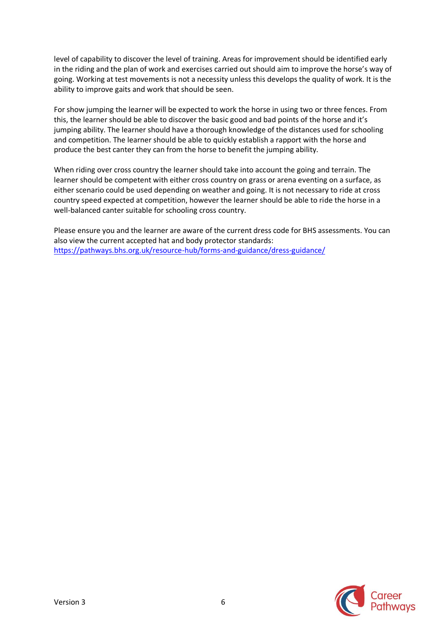level of capability to discover the level of training. Areas for improvement should be identified early in the riding and the plan of work and exercises carried out should aim to improve the horse's way of going. Working at test movements is not a necessity unless this develops the quality of work. It is the ability to improve gaits and work that should be seen.

For show jumping the learner will be expected to work the horse in using two or three fences. From this, the learner should be able to discover the basic good and bad points of the horse and it's jumping ability. The learner should have a thorough knowledge of the distances used for schooling and competition. The learner should be able to quickly establish a rapport with the horse and produce the best canter they can from the horse to benefit the jumping ability.

When riding over cross country the learner should take into account the going and terrain. The learner should be competent with either cross country on grass or arena eventing on a surface, as either scenario could be used depending on weather and going. It is not necessary to ride at cross country speed expected at competition, however the learner should be able to ride the horse in a well-balanced canter suitable for schooling cross country.

Please ensure you and the learner are aware of the current dress code for BHS assessments. You can also view the current accepted hat and body protector standards: <https://pathways.bhs.org.uk/resource-hub/forms-and-guidance/dress-guidance/>

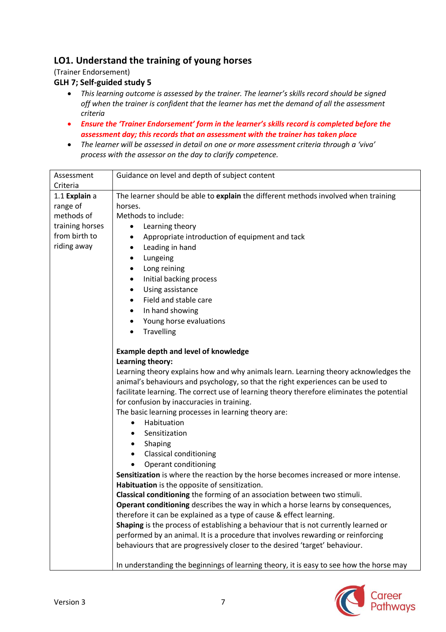## **LO1. Understand the training of young horses**

(Trainer Endorsement)

## **GLH 7; Self-guided study 5**

- *This learning outcome is assessed by the trainer. The learner's skills record should be signed off when the trainer is confident that the learner has met the demand of all the assessment criteria*
- *Ensure the 'Trainer Endorsement' form in the learner's skills record is completed before the assessment day; this records that an assessment with the trainer has taken place*
- *The learner will be assessed in detail on one or more assessment criteria through a 'viva' process with the assessor on the day to clarify competence.*

| Assessment                                                                       | Guidance on level and depth of subject content                                             |  |  |
|----------------------------------------------------------------------------------|--------------------------------------------------------------------------------------------|--|--|
| Criteria                                                                         |                                                                                            |  |  |
| 1.1 Explain a                                                                    | The learner should be able to explain the different methods involved when training         |  |  |
| range of                                                                         | horses.                                                                                    |  |  |
| methods of                                                                       | Methods to include:                                                                        |  |  |
| training horses                                                                  | Learning theory<br>$\bullet$                                                               |  |  |
| from birth to                                                                    | Appropriate introduction of equipment and tack                                             |  |  |
| riding away                                                                      | Leading in hand<br>٠                                                                       |  |  |
|                                                                                  | Lungeing<br>٠                                                                              |  |  |
|                                                                                  | Long reining<br>$\bullet$                                                                  |  |  |
|                                                                                  | Initial backing process<br>٠                                                               |  |  |
|                                                                                  | Using assistance<br>$\bullet$                                                              |  |  |
|                                                                                  | Field and stable care<br>$\bullet$                                                         |  |  |
|                                                                                  | In hand showing<br>٠                                                                       |  |  |
|                                                                                  | Young horse evaluations<br>٠                                                               |  |  |
|                                                                                  | Travelling<br>$\bullet$                                                                    |  |  |
|                                                                                  |                                                                                            |  |  |
|                                                                                  | <b>Example depth and level of knowledge</b>                                                |  |  |
|                                                                                  | Learning theory:                                                                           |  |  |
|                                                                                  | Learning theory explains how and why animals learn. Learning theory acknowledges the       |  |  |
| animal's behaviours and psychology, so that the right experiences can be used to |                                                                                            |  |  |
|                                                                                  | facilitate learning. The correct use of learning theory therefore eliminates the potential |  |  |
|                                                                                  | for confusion by inaccuracies in training.                                                 |  |  |
|                                                                                  | The basic learning processes in learning theory are:                                       |  |  |
|                                                                                  | Habituation<br>٠                                                                           |  |  |
|                                                                                  | Sensitization<br>$\bullet$                                                                 |  |  |
|                                                                                  | Shaping<br>٠                                                                               |  |  |
|                                                                                  | <b>Classical conditioning</b><br>٠                                                         |  |  |
|                                                                                  | Operant conditioning<br>$\bullet$                                                          |  |  |
|                                                                                  | Sensitization is where the reaction by the horse becomes increased or more intense.        |  |  |
|                                                                                  | Habituation is the opposite of sensitization.                                              |  |  |
|                                                                                  | Classical conditioning the forming of an association between two stimuli.                  |  |  |
|                                                                                  | Operant conditioning describes the way in which a horse learns by consequences,            |  |  |
|                                                                                  | therefore it can be explained as a type of cause & effect learning.                        |  |  |
|                                                                                  | Shaping is the process of establishing a behaviour that is not currently learned or        |  |  |
|                                                                                  | performed by an animal. It is a procedure that involves rewarding or reinforcing           |  |  |
|                                                                                  | behaviours that are progressively closer to the desired 'target' behaviour.                |  |  |
|                                                                                  |                                                                                            |  |  |
|                                                                                  | In understanding the beginnings of learning theory, it is easy to see how the horse may    |  |  |

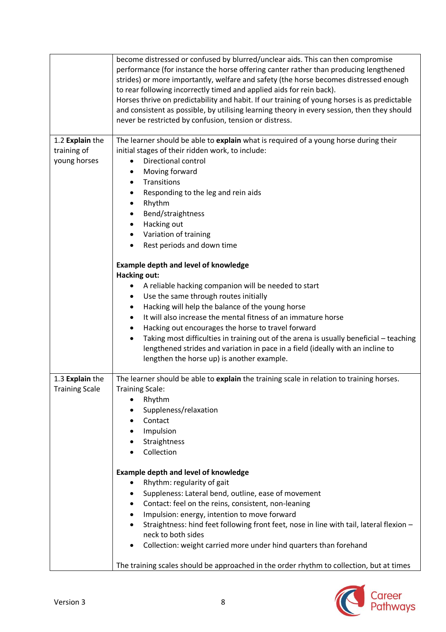|                                                | become distressed or confused by blurred/unclear aids. This can then compromise<br>performance (for instance the horse offering canter rather than producing lengthened<br>strides) or more importantly, welfare and safety (the horse becomes distressed enough<br>to rear following incorrectly timed and applied aids for rein back).<br>Horses thrive on predictability and habit. If our training of young horses is as predictable<br>and consistent as possible, by utilising learning theory in every session, then they should<br>never be restricted by confusion, tension or distress. |
|------------------------------------------------|---------------------------------------------------------------------------------------------------------------------------------------------------------------------------------------------------------------------------------------------------------------------------------------------------------------------------------------------------------------------------------------------------------------------------------------------------------------------------------------------------------------------------------------------------------------------------------------------------|
| 1.2 Explain the<br>training of<br>young horses | The learner should be able to explain what is required of a young horse during their<br>initial stages of their ridden work, to include:<br>Directional control<br>Moving forward<br>Transitions<br>٠<br>Responding to the leg and rein aids<br>Rhythm<br>Bend/straightness<br>Hacking out<br>$\bullet$<br>Variation of training<br>Rest periods and down time<br>$\bullet$                                                                                                                                                                                                                       |
|                                                | <b>Example depth and level of knowledge</b><br><b>Hacking out:</b><br>A reliable hacking companion will be needed to start<br>Use the same through routes initially<br>Hacking will help the balance of the young horse<br>٠<br>It will also increase the mental fitness of an immature horse<br>Hacking out encourages the horse to travel forward<br>Taking most difficulties in training out of the arena is usually beneficial - teaching<br>$\bullet$<br>lengthened strides and variation in pace in a field (ideally with an incline to<br>lengthen the horse up) is another example.       |
| 1.3 Explain the<br><b>Training Scale</b>       | The learner should be able to explain the training scale in relation to training horses.<br><b>Training Scale:</b><br>Rhythm<br>Suppleness/relaxation<br>Contact<br>Impulsion<br>Straightness<br>Collection<br><b>Example depth and level of knowledge</b><br>Rhythm: regularity of gait<br>$\bullet$<br>Suppleness: Lateral bend, outline, ease of movement<br>Contact: feel on the reins, consistent, non-leaning<br>٠<br>Impulsion: energy, intention to move forward<br>Straightness: hind feet following front feet, nose in line with tail, lateral flexion -<br>٠                          |
|                                                | neck to both sides<br>Collection: weight carried more under hind quarters than forehand<br>$\bullet$<br>The training scales should be approached in the order rhythm to collection, but at times                                                                                                                                                                                                                                                                                                                                                                                                  |

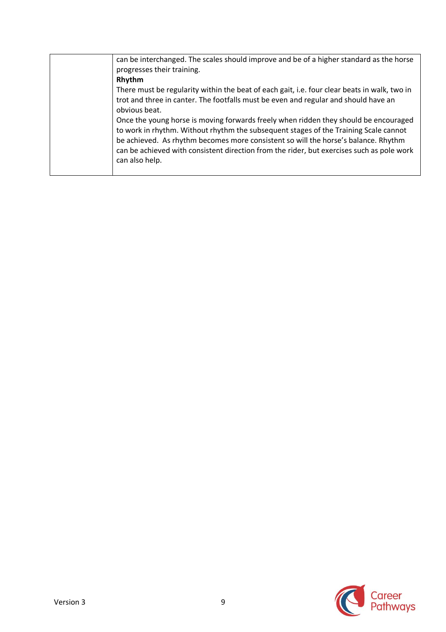| can be interchanged. The scales should improve and be of a higher standard as the horse<br>progresses their training.                                                                                                                                                                                                                                                             |
|-----------------------------------------------------------------------------------------------------------------------------------------------------------------------------------------------------------------------------------------------------------------------------------------------------------------------------------------------------------------------------------|
| Rhythm                                                                                                                                                                                                                                                                                                                                                                            |
| There must be regularity within the beat of each gait, i.e. four clear beats in walk, two in                                                                                                                                                                                                                                                                                      |
| trot and three in canter. The footfalls must be even and regular and should have an                                                                                                                                                                                                                                                                                               |
| obvious beat.                                                                                                                                                                                                                                                                                                                                                                     |
| Once the young horse is moving forwards freely when ridden they should be encouraged<br>to work in rhythm. Without rhythm the subsequent stages of the Training Scale cannot<br>be achieved. As rhythm becomes more consistent so will the horse's balance. Rhythm<br>can be achieved with consistent direction from the rider, but exercises such as pole work<br>can also help. |
|                                                                                                                                                                                                                                                                                                                                                                                   |

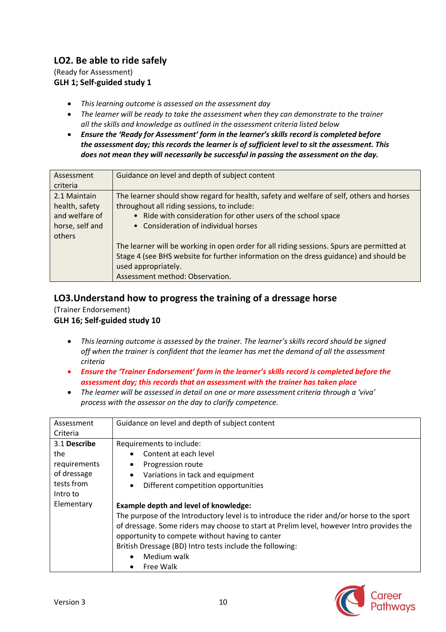## **LO2. Be able to ride safely**

(Ready for Assessment) **GLH 1; Self-guided study 1**

- *This learning outcome is assessed on the assessment day*
- *The learner will be ready to take the assessment when they can demonstrate to the trainer all the skills and knowledge as outlined in the assessment criteria listed below*
- *Ensure the 'Ready for Assessment' form in the learner's skills record is completed before the assessment day; this records the learner is of sufficient level to sit the assessment. This does not mean they will necessarily be successful in passing the assessment on the day.*

| Assessment      | Guidance on level and depth of subject content                                            |
|-----------------|-------------------------------------------------------------------------------------------|
| criteria        |                                                                                           |
| 2.1 Maintain    | The learner should show regard for health, safety and welfare of self, others and horses  |
| health, safety  | throughout all riding sessions, to include:                                               |
| and welfare of  | • Ride with consideration for other users of the school space                             |
| horse, self and | • Consideration of individual horses                                                      |
| others          |                                                                                           |
|                 | The learner will be working in open order for all riding sessions. Spurs are permitted at |
|                 | Stage 4 (see BHS website for further information on the dress guidance) and should be     |
|                 | used appropriately.                                                                       |
|                 | Assessment method: Observation.                                                           |

## **LO3.Understand how to progress the training of a dressage horse**

(Trainer Endorsement) **GLH 16; Self-guided study 10**

- *This learning outcome is assessed by the trainer. The learner's skills record should be signed off when the trainer is confident that the learner has met the demand of all the assessment criteria*
- *Ensure the 'Trainer Endorsement' form in the learner's skills record is completed before the assessment day; this records that an assessment with the trainer has taken place*
- *The learner will be assessed in detail on one or more assessment criteria through a 'viva' process with the assessor on the day to clarify competence.*

| Assessment<br>Criteria | Guidance on level and depth of subject content                                            |
|------------------------|-------------------------------------------------------------------------------------------|
| 3.1 Describe           | Requirements to include:                                                                  |
| the                    | Content at each level                                                                     |
| requirements           | Progression route                                                                         |
| of dressage            | Variations in tack and equipment<br>٠                                                     |
| tests from             | Different competition opportunities<br>٠                                                  |
| Intro to               |                                                                                           |
| Elementary             | <b>Example depth and level of knowledge:</b>                                              |
|                        | The purpose of the Introductory level is to introduce the rider and/or horse to the sport |
|                        | of dressage. Some riders may choose to start at Prelim level, however Intro provides the  |
|                        | opportunity to compete without having to canter                                           |
|                        | British Dressage (BD) Intro tests include the following:                                  |
|                        | Medium walk<br>$\bullet$                                                                  |
|                        | Free Walk<br>٠                                                                            |

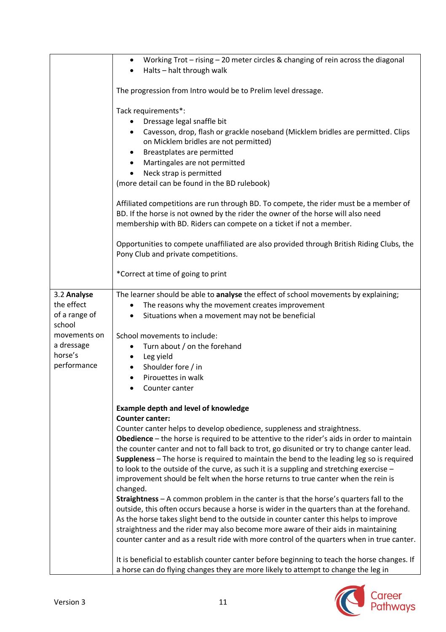|                                                                      | Working Trot - rising - 20 meter circles & changing of rein across the diagonal<br>٠<br>Halts - halt through walk                                                                                                                                                                                                                                                                                                                                                                                                                                                                  |
|----------------------------------------------------------------------|------------------------------------------------------------------------------------------------------------------------------------------------------------------------------------------------------------------------------------------------------------------------------------------------------------------------------------------------------------------------------------------------------------------------------------------------------------------------------------------------------------------------------------------------------------------------------------|
|                                                                      | The progression from Intro would be to Prelim level dressage.                                                                                                                                                                                                                                                                                                                                                                                                                                                                                                                      |
|                                                                      | Tack requirements*:<br>Dressage legal snaffle bit<br>Cavesson, drop, flash or grackle noseband (Micklem bridles are permitted. Clips<br>$\bullet$<br>on Micklem bridles are not permitted)<br>Breastplates are permitted<br>٠<br>Martingales are not permitted<br>$\bullet$<br>Neck strap is permitted<br>$\bullet$<br>(more detail can be found in the BD rulebook)                                                                                                                                                                                                               |
|                                                                      | Affiliated competitions are run through BD. To compete, the rider must be a member of<br>BD. If the horse is not owned by the rider the owner of the horse will also need<br>membership with BD. Riders can compete on a ticket if not a member.                                                                                                                                                                                                                                                                                                                                   |
|                                                                      | Opportunities to compete unaffiliated are also provided through British Riding Clubs, the<br>Pony Club and private competitions.                                                                                                                                                                                                                                                                                                                                                                                                                                                   |
|                                                                      | *Correct at time of going to print                                                                                                                                                                                                                                                                                                                                                                                                                                                                                                                                                 |
| 3.2 Analyse<br>the effect<br>of a range of<br>school<br>movements on | The learner should be able to analyse the effect of school movements by explaining;<br>The reasons why the movement creates improvement<br>٠<br>Situations when a movement may not be beneficial<br>$\bullet$                                                                                                                                                                                                                                                                                                                                                                      |
| a dressage<br>horse's<br>performance                                 | School movements to include:<br>Turn about / on the forehand<br>$\bullet$<br>Leg yield<br>٠<br>Shoulder fore / in<br>$\bullet$<br>Pirouettes in walk<br>$\bullet$<br>Counter canter                                                                                                                                                                                                                                                                                                                                                                                                |
|                                                                      | <b>Example depth and level of knowledge</b>                                                                                                                                                                                                                                                                                                                                                                                                                                                                                                                                        |
|                                                                      | <b>Counter canter:</b><br>Counter canter helps to develop obedience, suppleness and straightness.<br><b>Obedience</b> – the horse is required to be attentive to the rider's aids in order to maintain<br>the counter canter and not to fall back to trot, go disunited or try to change canter lead.<br>Suppleness - The horse is required to maintain the bend to the leading leg so is required<br>to look to the outside of the curve, as such it is a suppling and stretching exercise -<br>improvement should be felt when the horse returns to true canter when the rein is |
|                                                                      | changed.<br>Straightness - A common problem in the canter is that the horse's quarters fall to the<br>outside, this often occurs because a horse is wider in the quarters than at the forehand.<br>As the horse takes slight bend to the outside in counter canter this helps to improve<br>straightness and the rider may also become more aware of their aids in maintaining<br>counter canter and as a result ride with more control of the quarters when in true canter.                                                                                                       |
|                                                                      | It is beneficial to establish counter canter before beginning to teach the horse changes. If<br>a horse can do flying changes they are more likely to attempt to change the leg in                                                                                                                                                                                                                                                                                                                                                                                                 |

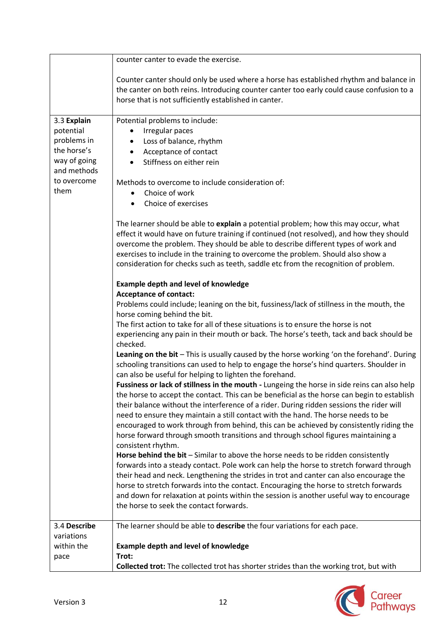|                                                                                                              | counter canter to evade the exercise.                                                                                                                                                                                                                                                                                                                                                                                                                                                                                                                                                                                                                                                                                                                                                                                                                                                                                                                                                                                                                                                                                                                                                                                                                                                                                                          |
|--------------------------------------------------------------------------------------------------------------|------------------------------------------------------------------------------------------------------------------------------------------------------------------------------------------------------------------------------------------------------------------------------------------------------------------------------------------------------------------------------------------------------------------------------------------------------------------------------------------------------------------------------------------------------------------------------------------------------------------------------------------------------------------------------------------------------------------------------------------------------------------------------------------------------------------------------------------------------------------------------------------------------------------------------------------------------------------------------------------------------------------------------------------------------------------------------------------------------------------------------------------------------------------------------------------------------------------------------------------------------------------------------------------------------------------------------------------------|
|                                                                                                              | Counter canter should only be used where a horse has established rhythm and balance in<br>the canter on both reins. Introducing counter canter too early could cause confusion to a<br>horse that is not sufficiently established in canter.                                                                                                                                                                                                                                                                                                                                                                                                                                                                                                                                                                                                                                                                                                                                                                                                                                                                                                                                                                                                                                                                                                   |
| 3.3 Explain<br>potential<br>problems in<br>the horse's<br>way of going<br>and methods<br>to overcome<br>them | Potential problems to include:<br>Irregular paces<br>٠<br>Loss of balance, rhythm<br>$\bullet$<br>Acceptance of contact<br>$\bullet$<br>Stiffness on either rein<br>$\bullet$<br>Methods to overcome to include consideration of:<br>Choice of work<br>Choice of exercises<br>$\bullet$<br>The learner should be able to explain a potential problem; how this may occur, what<br>effect it would have on future training if continued (not resolved), and how they should<br>overcome the problem. They should be able to describe different types of work and<br>exercises to include in the training to overcome the problem. Should also show a<br>consideration for checks such as teeth, saddle etc from the recognition of problem.<br><b>Example depth and level of knowledge</b><br><b>Acceptance of contact:</b><br>Problems could include; leaning on the bit, fussiness/lack of stillness in the mouth, the<br>horse coming behind the bit.<br>The first action to take for all of these situations is to ensure the horse is not<br>experiencing any pain in their mouth or back. The horse's teeth, tack and back should be<br>checked.<br>Leaning on the bit - This is usually caused by the horse working 'on the forehand'. During<br>schooling transitions can used to help to engage the horse's hind quarters. Shoulder in |
|                                                                                                              | can also be useful for helping to lighten the forehand.<br>Fussiness or lack of stillness in the mouth - Lungeing the horse in side reins can also help<br>the horse to accept the contact. This can be beneficial as the horse can begin to establish<br>their balance without the interference of a rider. During ridden sessions the rider will<br>need to ensure they maintain a still contact with the hand. The horse needs to be<br>encouraged to work through from behind, this can be achieved by consistently riding the<br>horse forward through smooth transitions and through school figures maintaining a<br>consistent rhythm.<br>Horse behind the bit - Similar to above the horse needs to be ridden consistently<br>forwards into a steady contact. Pole work can help the horse to stretch forward through<br>their head and neck. Lengthening the strides in trot and canter can also encourage the<br>horse to stretch forwards into the contact. Encouraging the horse to stretch forwards<br>and down for relaxation at points within the session is another useful way to encourage<br>the horse to seek the contact forwards.                                                                                                                                                                                         |
| 3.4 Describe                                                                                                 | The learner should be able to describe the four variations for each pace.                                                                                                                                                                                                                                                                                                                                                                                                                                                                                                                                                                                                                                                                                                                                                                                                                                                                                                                                                                                                                                                                                                                                                                                                                                                                      |
| variations                                                                                                   |                                                                                                                                                                                                                                                                                                                                                                                                                                                                                                                                                                                                                                                                                                                                                                                                                                                                                                                                                                                                                                                                                                                                                                                                                                                                                                                                                |
| within the                                                                                                   | <b>Example depth and level of knowledge</b><br>Trot:                                                                                                                                                                                                                                                                                                                                                                                                                                                                                                                                                                                                                                                                                                                                                                                                                                                                                                                                                                                                                                                                                                                                                                                                                                                                                           |
| pace                                                                                                         | Collected trot: The collected trot has shorter strides than the working trot, but with                                                                                                                                                                                                                                                                                                                                                                                                                                                                                                                                                                                                                                                                                                                                                                                                                                                                                                                                                                                                                                                                                                                                                                                                                                                         |

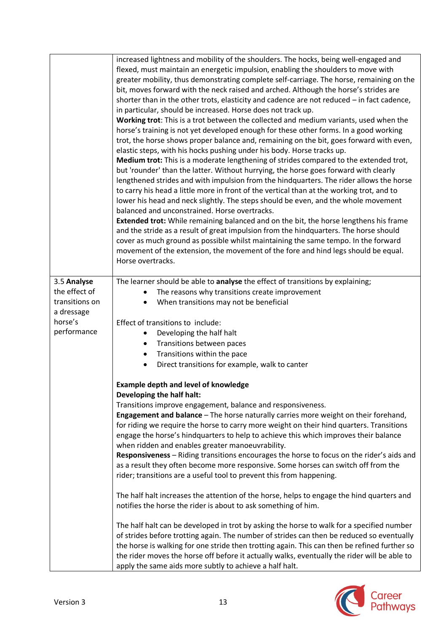|                       | increased lightness and mobility of the shoulders. The hocks, being well-engaged and<br>flexed, must maintain an energetic impulsion, enabling the shoulders to move with<br>greater mobility, thus demonstrating complete self-carriage. The horse, remaining on the<br>bit, moves forward with the neck raised and arched. Although the horse's strides are<br>shorter than in the other trots, elasticity and cadence are not reduced $-$ in fact cadence,<br>in particular, should be increased. Horse does not track up.<br>Working trot: This is a trot between the collected and medium variants, used when the<br>horse's training is not yet developed enough for these other forms. In a good working<br>trot, the horse shows proper balance and, remaining on the bit, goes forward with even,<br>elastic steps, with his hocks pushing under his body. Horse tracks up.<br>Medium trot: This is a moderate lengthening of strides compared to the extended trot,<br>but 'rounder' than the latter. Without hurrying, the horse goes forward with clearly<br>lengthened strides and with impulsion from the hindquarters. The rider allows the horse<br>to carry his head a little more in front of the vertical than at the working trot, and to<br>lower his head and neck slightly. The steps should be even, and the whole movement<br>balanced and unconstrained. Horse overtracks.<br><b>Extended trot:</b> While remaining balanced and on the bit, the horse lengthens his frame<br>and the stride as a result of great impulsion from the hindquarters. The horse should<br>cover as much ground as possible whilst maintaining the same tempo. In the forward<br>movement of the extension, the movement of the fore and hind legs should be equal.<br>Horse overtracks. |
|-----------------------|------------------------------------------------------------------------------------------------------------------------------------------------------------------------------------------------------------------------------------------------------------------------------------------------------------------------------------------------------------------------------------------------------------------------------------------------------------------------------------------------------------------------------------------------------------------------------------------------------------------------------------------------------------------------------------------------------------------------------------------------------------------------------------------------------------------------------------------------------------------------------------------------------------------------------------------------------------------------------------------------------------------------------------------------------------------------------------------------------------------------------------------------------------------------------------------------------------------------------------------------------------------------------------------------------------------------------------------------------------------------------------------------------------------------------------------------------------------------------------------------------------------------------------------------------------------------------------------------------------------------------------------------------------------------------------------------------------------------------------------------------------------------------------------------|
| 3.5 Analyse           | The learner should be able to analyse the effect of transitions by explaining;                                                                                                                                                                                                                                                                                                                                                                                                                                                                                                                                                                                                                                                                                                                                                                                                                                                                                                                                                                                                                                                                                                                                                                                                                                                                                                                                                                                                                                                                                                                                                                                                                                                                                                                 |
| the effect of         | The reasons why transitions create improvement                                                                                                                                                                                                                                                                                                                                                                                                                                                                                                                                                                                                                                                                                                                                                                                                                                                                                                                                                                                                                                                                                                                                                                                                                                                                                                                                                                                                                                                                                                                                                                                                                                                                                                                                                 |
| transitions on        | When transitions may not be beneficial                                                                                                                                                                                                                                                                                                                                                                                                                                                                                                                                                                                                                                                                                                                                                                                                                                                                                                                                                                                                                                                                                                                                                                                                                                                                                                                                                                                                                                                                                                                                                                                                                                                                                                                                                         |
| a dressage<br>horse's |                                                                                                                                                                                                                                                                                                                                                                                                                                                                                                                                                                                                                                                                                                                                                                                                                                                                                                                                                                                                                                                                                                                                                                                                                                                                                                                                                                                                                                                                                                                                                                                                                                                                                                                                                                                                |
| performance           | Effect of transitions to include:                                                                                                                                                                                                                                                                                                                                                                                                                                                                                                                                                                                                                                                                                                                                                                                                                                                                                                                                                                                                                                                                                                                                                                                                                                                                                                                                                                                                                                                                                                                                                                                                                                                                                                                                                              |
|                       | Developing the half halt<br>$\bullet$<br>Transitions between paces<br>$\bullet$                                                                                                                                                                                                                                                                                                                                                                                                                                                                                                                                                                                                                                                                                                                                                                                                                                                                                                                                                                                                                                                                                                                                                                                                                                                                                                                                                                                                                                                                                                                                                                                                                                                                                                                |
|                       | Transitions within the pace<br>$\bullet$                                                                                                                                                                                                                                                                                                                                                                                                                                                                                                                                                                                                                                                                                                                                                                                                                                                                                                                                                                                                                                                                                                                                                                                                                                                                                                                                                                                                                                                                                                                                                                                                                                                                                                                                                       |
|                       | Direct transitions for example, walk to canter<br>$\bullet$                                                                                                                                                                                                                                                                                                                                                                                                                                                                                                                                                                                                                                                                                                                                                                                                                                                                                                                                                                                                                                                                                                                                                                                                                                                                                                                                                                                                                                                                                                                                                                                                                                                                                                                                    |
|                       | <b>Example depth and level of knowledge</b><br>Developing the half halt:                                                                                                                                                                                                                                                                                                                                                                                                                                                                                                                                                                                                                                                                                                                                                                                                                                                                                                                                                                                                                                                                                                                                                                                                                                                                                                                                                                                                                                                                                                                                                                                                                                                                                                                       |
|                       | Transitions improve engagement, balance and responsiveness.                                                                                                                                                                                                                                                                                                                                                                                                                                                                                                                                                                                                                                                                                                                                                                                                                                                                                                                                                                                                                                                                                                                                                                                                                                                                                                                                                                                                                                                                                                                                                                                                                                                                                                                                    |
|                       | Engagement and balance - The horse naturally carries more weight on their forehand,                                                                                                                                                                                                                                                                                                                                                                                                                                                                                                                                                                                                                                                                                                                                                                                                                                                                                                                                                                                                                                                                                                                                                                                                                                                                                                                                                                                                                                                                                                                                                                                                                                                                                                            |
|                       | for riding we require the horse to carry more weight on their hind quarters. Transitions                                                                                                                                                                                                                                                                                                                                                                                                                                                                                                                                                                                                                                                                                                                                                                                                                                                                                                                                                                                                                                                                                                                                                                                                                                                                                                                                                                                                                                                                                                                                                                                                                                                                                                       |
|                       | engage the horse's hindquarters to help to achieve this which improves their balance                                                                                                                                                                                                                                                                                                                                                                                                                                                                                                                                                                                                                                                                                                                                                                                                                                                                                                                                                                                                                                                                                                                                                                                                                                                                                                                                                                                                                                                                                                                                                                                                                                                                                                           |
|                       | when ridden and enables greater manoeuvrability.                                                                                                                                                                                                                                                                                                                                                                                                                                                                                                                                                                                                                                                                                                                                                                                                                                                                                                                                                                                                                                                                                                                                                                                                                                                                                                                                                                                                                                                                                                                                                                                                                                                                                                                                               |
|                       | Responsiveness - Riding transitions encourages the horse to focus on the rider's aids and                                                                                                                                                                                                                                                                                                                                                                                                                                                                                                                                                                                                                                                                                                                                                                                                                                                                                                                                                                                                                                                                                                                                                                                                                                                                                                                                                                                                                                                                                                                                                                                                                                                                                                      |
|                       | as a result they often become more responsive. Some horses can switch off from the<br>rider; transitions are a useful tool to prevent this from happening.                                                                                                                                                                                                                                                                                                                                                                                                                                                                                                                                                                                                                                                                                                                                                                                                                                                                                                                                                                                                                                                                                                                                                                                                                                                                                                                                                                                                                                                                                                                                                                                                                                     |
|                       | The half halt increases the attention of the horse, helps to engage the hind quarters and                                                                                                                                                                                                                                                                                                                                                                                                                                                                                                                                                                                                                                                                                                                                                                                                                                                                                                                                                                                                                                                                                                                                                                                                                                                                                                                                                                                                                                                                                                                                                                                                                                                                                                      |
|                       | notifies the horse the rider is about to ask something of him.                                                                                                                                                                                                                                                                                                                                                                                                                                                                                                                                                                                                                                                                                                                                                                                                                                                                                                                                                                                                                                                                                                                                                                                                                                                                                                                                                                                                                                                                                                                                                                                                                                                                                                                                 |
|                       | The half halt can be developed in trot by asking the horse to walk for a specified number                                                                                                                                                                                                                                                                                                                                                                                                                                                                                                                                                                                                                                                                                                                                                                                                                                                                                                                                                                                                                                                                                                                                                                                                                                                                                                                                                                                                                                                                                                                                                                                                                                                                                                      |
|                       | of strides before trotting again. The number of strides can then be reduced so eventually                                                                                                                                                                                                                                                                                                                                                                                                                                                                                                                                                                                                                                                                                                                                                                                                                                                                                                                                                                                                                                                                                                                                                                                                                                                                                                                                                                                                                                                                                                                                                                                                                                                                                                      |
|                       | the horse is walking for one stride then trotting again. This can then be refined further so                                                                                                                                                                                                                                                                                                                                                                                                                                                                                                                                                                                                                                                                                                                                                                                                                                                                                                                                                                                                                                                                                                                                                                                                                                                                                                                                                                                                                                                                                                                                                                                                                                                                                                   |
|                       | the rider moves the horse off before it actually walks, eventually the rider will be able to<br>apply the same aids more subtly to achieve a half halt.                                                                                                                                                                                                                                                                                                                                                                                                                                                                                                                                                                                                                                                                                                                                                                                                                                                                                                                                                                                                                                                                                                                                                                                                                                                                                                                                                                                                                                                                                                                                                                                                                                        |

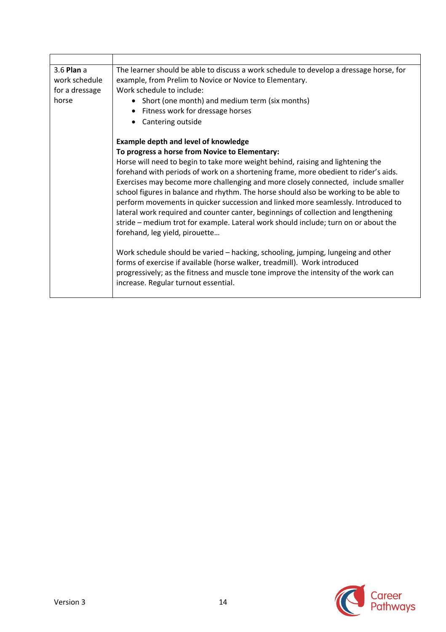| 3.6 Plan a<br>work schedule<br>for a dressage<br>horse | The learner should be able to discuss a work schedule to develop a dressage horse, for<br>example, from Prelim to Novice or Novice to Elementary.<br>Work schedule to include:<br>• Short (one month) and medium term (six months)<br>• Fitness work for dressage horses<br>Cantering outside                                                                                                                                                                                                                                                                                                                                                           |  |
|--------------------------------------------------------|---------------------------------------------------------------------------------------------------------------------------------------------------------------------------------------------------------------------------------------------------------------------------------------------------------------------------------------------------------------------------------------------------------------------------------------------------------------------------------------------------------------------------------------------------------------------------------------------------------------------------------------------------------|--|
|                                                        | <b>Example depth and level of knowledge</b>                                                                                                                                                                                                                                                                                                                                                                                                                                                                                                                                                                                                             |  |
|                                                        | To progress a horse from Novice to Elementary:                                                                                                                                                                                                                                                                                                                                                                                                                                                                                                                                                                                                          |  |
|                                                        | Horse will need to begin to take more weight behind, raising and lightening the<br>forehand with periods of work on a shortening frame, more obedient to rider's aids.<br>Exercises may become more challenging and more closely connected, include smaller<br>school figures in balance and rhythm. The horse should also be working to be able to<br>perform movements in quicker succession and linked more seamlessly. Introduced to<br>lateral work required and counter canter, beginnings of collection and lengthening<br>stride – medium trot for example. Lateral work should include; turn on or about the<br>forehand, leg yield, pirouette |  |
|                                                        | Work schedule should be varied - hacking, schooling, jumping, lungeing and other<br>forms of exercise if available (horse walker, treadmill). Work introduced<br>progressively; as the fitness and muscle tone improve the intensity of the work can<br>increase. Regular turnout essential.                                                                                                                                                                                                                                                                                                                                                            |  |

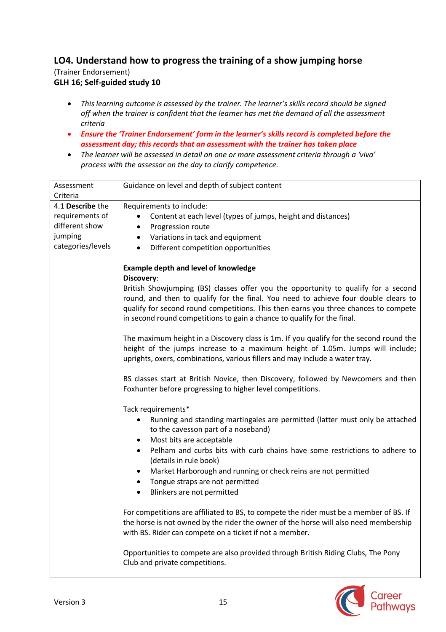## **LO4. Understand how to progress the training of a show jumping horse** (Trainer Endorsement) **GLH 16; Self-guided study 10**

- *This learning outcome is assessed by the trainer. The learner's skills record should be signed off when the trainer is confident that the learner has met the demand of all the assessment criteria*
- *Ensure the 'Trainer Endorsement' form in the learner's skills record is completed before the assessment day; this records that an assessment with the trainer has taken place*
- *The learner will be assessed in detail on one or more assessment criteria through a 'viva' process with the assessor on the day to clarify competence.*

| Assessment                   | Guidance on level and depth of subject content                                                                                                                                 |
|------------------------------|--------------------------------------------------------------------------------------------------------------------------------------------------------------------------------|
| Criteria<br>4.1 Describe the |                                                                                                                                                                                |
|                              | Requirements to include:                                                                                                                                                       |
| requirements of              | Content at each level (types of jumps, height and distances)                                                                                                                   |
| different show               | Progression route<br>$\bullet$                                                                                                                                                 |
| jumping                      | Variations in tack and equipment<br>٠                                                                                                                                          |
| categories/levels            | Different competition opportunities<br>$\bullet$                                                                                                                               |
|                              | <b>Example depth and level of knowledge</b><br>Discovery:                                                                                                                      |
|                              | British Showjumping (BS) classes offer you the opportunity to qualify for a second                                                                                             |
|                              | round, and then to qualify for the final. You need to achieve four double clears to                                                                                            |
|                              | qualify for second round competitions. This then earns you three chances to compete                                                                                            |
|                              | in second round competitions to gain a chance to qualify for the final.                                                                                                        |
|                              | The maximum height in a Discovery class is 1m. If you qualify for the second round the                                                                                         |
|                              | height of the jumps increase to a maximum height of 1.05m. Jumps will include;                                                                                                 |
|                              | uprights, oxers, combinations, various fillers and may include a water tray.                                                                                                   |
|                              |                                                                                                                                                                                |
|                              | BS classes start at British Novice, then Discovery, followed by Newcomers and then<br>Foxhunter before progressing to higher level competitions.                               |
|                              | Tack requirements*                                                                                                                                                             |
|                              | Running and standing martingales are permitted (latter must only be attached                                                                                                   |
|                              | to the cavesson part of a noseband)                                                                                                                                            |
|                              | Most bits are acceptable<br>٠                                                                                                                                                  |
|                              | Pelham and curbs bits with curb chains have some restrictions to adhere to                                                                                                     |
|                              | (details in rule book)                                                                                                                                                         |
|                              | Market Harborough and running or check reins are not permitted                                                                                                                 |
|                              | Tongue straps are not permitted                                                                                                                                                |
|                              | Blinkers are not permitted                                                                                                                                                     |
|                              |                                                                                                                                                                                |
|                              | For competitions are affiliated to BS, to compete the rider must be a member of BS. If<br>the horse is not owned by the rider the owner of the horse will also need membership |
|                              | with BS. Rider can compete on a ticket if not a member.                                                                                                                        |
|                              | Opportunities to compete are also provided through British Riding Clubs, The Pony                                                                                              |
|                              | Club and private competitions.                                                                                                                                                 |
|                              |                                                                                                                                                                                |

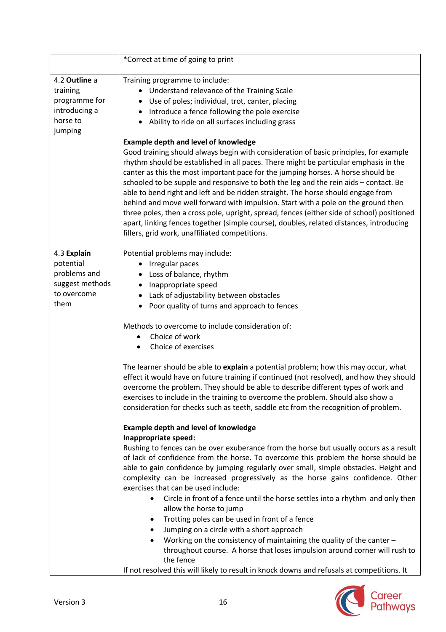|                                                                                    | *Correct at time of going to print                                                                                                                                                                                                                                                                                                                                                                                                                                                                                                                                                                                                                                                                                                                                                                                                                                                                                                                                                                                                                                                                                                                                                                                                                                                                                                                                                                                                                                                                                                                                                                                                                                                                                                                |
|------------------------------------------------------------------------------------|---------------------------------------------------------------------------------------------------------------------------------------------------------------------------------------------------------------------------------------------------------------------------------------------------------------------------------------------------------------------------------------------------------------------------------------------------------------------------------------------------------------------------------------------------------------------------------------------------------------------------------------------------------------------------------------------------------------------------------------------------------------------------------------------------------------------------------------------------------------------------------------------------------------------------------------------------------------------------------------------------------------------------------------------------------------------------------------------------------------------------------------------------------------------------------------------------------------------------------------------------------------------------------------------------------------------------------------------------------------------------------------------------------------------------------------------------------------------------------------------------------------------------------------------------------------------------------------------------------------------------------------------------------------------------------------------------------------------------------------------------|
| 4.2 Outline a<br>training<br>programme for<br>introducing a<br>horse to<br>jumping | Training programme to include:<br>• Understand relevance of the Training Scale<br>Use of poles; individual, trot, canter, placing<br>Introduce a fence following the pole exercise<br>Ability to ride on all surfaces including grass<br>$\bullet$<br><b>Example depth and level of knowledge</b><br>Good training should always begin with consideration of basic principles, for example<br>rhythm should be established in all paces. There might be particular emphasis in the<br>canter as this the most important pace for the jumping horses. A horse should be<br>schooled to be supple and responsive to both the leg and the rein aids - contact. Be<br>able to bend right and left and be ridden straight. The horse should engage from<br>behind and move well forward with impulsion. Start with a pole on the ground then<br>three poles, then a cross pole, upright, spread, fences (either side of school) positioned<br>apart, linking fences together (simple course), doubles, related distances, introducing<br>fillers, grid work, unaffiliated competitions.                                                                                                                                                                                                                                                                                                                                                                                                                                                                                                                                                                                                                                                                |
| 4.3 Explain<br>potential<br>problems and<br>suggest methods<br>to overcome<br>them | Potential problems may include:<br>• Irregular paces<br>Loss of balance, rhythm<br>Inappropriate speed<br>٠<br>Lack of adjustability between obstacles<br>Poor quality of turns and approach to fences<br>Methods to overcome to include consideration of:<br>Choice of work<br>Choice of exercises<br>$\bullet$<br>The learner should be able to explain a potential problem; how this may occur, what<br>effect it would have on future training if continued (not resolved), and how they should<br>overcome the problem. They should be able to describe different types of work and<br>exercises to include in the training to overcome the problem. Should also show a<br>consideration for checks such as teeth, saddle etc from the recognition of problem.<br><b>Example depth and level of knowledge</b><br>Inappropriate speed:<br>Rushing to fences can be over exuberance from the horse but usually occurs as a result<br>of lack of confidence from the horse. To overcome this problem the horse should be<br>able to gain confidence by jumping regularly over small, simple obstacles. Height and<br>complexity can be increased progressively as the horse gains confidence. Other<br>exercises that can be used include:<br>Circle in front of a fence until the horse settles into a rhythm and only then<br>$\bullet$<br>allow the horse to jump<br>Trotting poles can be used in front of a fence<br>٠<br>Jumping on a circle with a short approach<br>Working on the consistency of maintaining the quality of the canter -<br>٠<br>throughout course. A horse that loses impulsion around corner will rush to<br>the fence<br>If not resolved this will likely to result in knock downs and refusals at competitions. It |

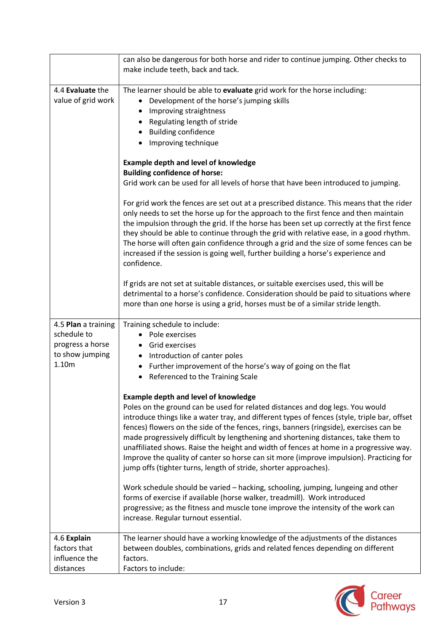|                                                                                    | can also be dangerous for both horse and rider to continue jumping. Other checks to<br>make include teeth, back and tack.                                                                                                                                                                                                                                                                                                                                                                                                                                                                                                                                                                                                                                                                                                                                                                                                                                                                                                                                                                                                                                                                    |
|------------------------------------------------------------------------------------|----------------------------------------------------------------------------------------------------------------------------------------------------------------------------------------------------------------------------------------------------------------------------------------------------------------------------------------------------------------------------------------------------------------------------------------------------------------------------------------------------------------------------------------------------------------------------------------------------------------------------------------------------------------------------------------------------------------------------------------------------------------------------------------------------------------------------------------------------------------------------------------------------------------------------------------------------------------------------------------------------------------------------------------------------------------------------------------------------------------------------------------------------------------------------------------------|
| 4.4 Evaluate the<br>value of grid work                                             | The learner should be able to evaluate grid work for the horse including:<br>Development of the horse's jumping skills<br>$\bullet$<br>Improving straightness<br>Regulating length of stride<br>• Building confidence<br>Improving technique                                                                                                                                                                                                                                                                                                                                                                                                                                                                                                                                                                                                                                                                                                                                                                                                                                                                                                                                                 |
|                                                                                    | <b>Example depth and level of knowledge</b><br><b>Building confidence of horse:</b><br>Grid work can be used for all levels of horse that have been introduced to jumping.                                                                                                                                                                                                                                                                                                                                                                                                                                                                                                                                                                                                                                                                                                                                                                                                                                                                                                                                                                                                                   |
|                                                                                    | For grid work the fences are set out at a prescribed distance. This means that the rider<br>only needs to set the horse up for the approach to the first fence and then maintain<br>the impulsion through the grid. If the horse has been set up correctly at the first fence<br>they should be able to continue through the grid with relative ease, in a good rhythm.<br>The horse will often gain confidence through a grid and the size of some fences can be<br>increased if the session is going well, further building a horse's experience and<br>confidence.                                                                                                                                                                                                                                                                                                                                                                                                                                                                                                                                                                                                                        |
|                                                                                    | If grids are not set at suitable distances, or suitable exercises used, this will be<br>detrimental to a horse's confidence. Consideration should be paid to situations where<br>more than one horse is using a grid, horses must be of a similar stride length.                                                                                                                                                                                                                                                                                                                                                                                                                                                                                                                                                                                                                                                                                                                                                                                                                                                                                                                             |
| 4.5 Plan a training<br>schedule to<br>progress a horse<br>to show jumping<br>1.10m | Training schedule to include:<br>• Pole exercises<br>Grid exercises<br>Introduction of canter poles<br>$\bullet$<br>• Further improvement of the horse's way of going on the flat<br>Referenced to the Training Scale<br><b>Example depth and level of knowledge</b><br>Poles on the ground can be used for related distances and dog legs. You would<br>introduce things like a water tray, and different types of fences (style, triple bar, offset<br>fences) flowers on the side of the fences, rings, banners (ringside), exercises can be<br>made progressively difficult by lengthening and shortening distances, take them to<br>unaffiliated shows. Raise the height and width of fences at home in a progressive way.<br>Improve the quality of canter so horse can sit more (improve impulsion). Practicing for<br>jump offs (tighter turns, length of stride, shorter approaches).<br>Work schedule should be varied - hacking, schooling, jumping, lungeing and other<br>forms of exercise if available (horse walker, treadmill). Work introduced<br>progressive; as the fitness and muscle tone improve the intensity of the work can<br>increase. Regular turnout essential. |
| 4.6 Explain<br>factors that<br>influence the<br>distances                          | The learner should have a working knowledge of the adjustments of the distances<br>between doubles, combinations, grids and related fences depending on different<br>factors.<br>Factors to include:                                                                                                                                                                                                                                                                                                                                                                                                                                                                                                                                                                                                                                                                                                                                                                                                                                                                                                                                                                                         |

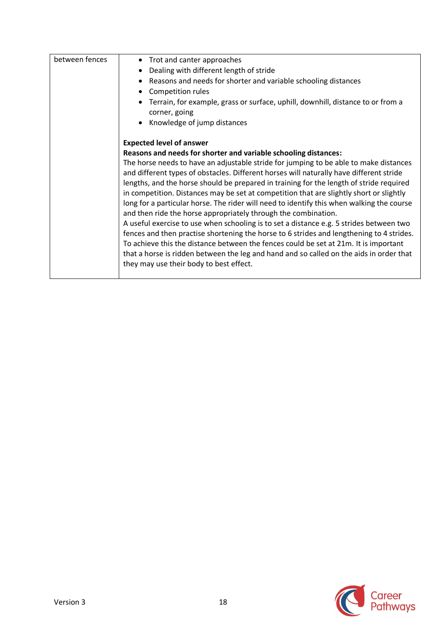| between fences | • Trot and canter approaches                                                              |
|----------------|-------------------------------------------------------------------------------------------|
|                | Dealing with different length of stride<br>$\bullet$                                      |
|                | Reasons and needs for shorter and variable schooling distances<br>$\bullet$               |
|                | Competition rules<br>$\bullet$                                                            |
|                | Terrain, for example, grass or surface, uphill, downhill, distance to or from a           |
|                | corner, going                                                                             |
|                | Knowledge of jump distances<br>$\bullet$                                                  |
|                |                                                                                           |
|                | <b>Expected level of answer</b>                                                           |
|                | Reasons and needs for shorter and variable schooling distances:                           |
|                | The horse needs to have an adjustable stride for jumping to be able to make distances     |
|                | and different types of obstacles. Different horses will naturally have different stride   |
|                | lengths, and the horse should be prepared in training for the length of stride required   |
|                | in competition. Distances may be set at competition that are slightly short or slightly   |
|                | long for a particular horse. The rider will need to identify this when walking the course |
|                | and then ride the horse appropriately through the combination.                            |
|                | A useful exercise to use when schooling is to set a distance e.g. 5 strides between two   |
|                | fences and then practise shortening the horse to 6 strides and lengthening to 4 strides.  |
|                | To achieve this the distance between the fences could be set at 21m. It is important      |
|                | that a horse is ridden between the leg and hand and so called on the aids in order that   |
|                | they may use their body to best effect.                                                   |
|                |                                                                                           |

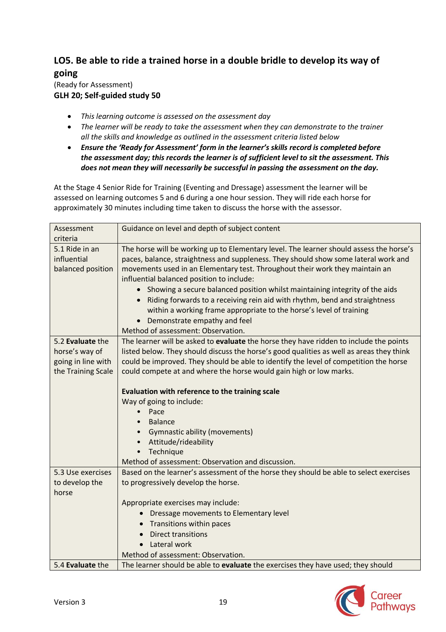# **LO5. Be able to ride a trained horse in a double bridle to develop its way of going**

## (Ready for Assessment) **GLH 20; Self-guided study 50**

- *This learning outcome is assessed on the assessment day*
- *The learner will be ready to take the assessment when they can demonstrate to the trainer all the skills and knowledge as outlined in the assessment criteria listed below*
- *Ensure the 'Ready for Assessment' form in the learner's skills record is completed before the assessment day; this records the learner is of sufficient level to sit the assessment. This does not mean they will necessarily be successful in passing the assessment on the day.*

At the Stage 4 Senior Ride for Training (Eventing and Dressage) assessment the learner will be assessed on learning outcomes 5 and 6 during a one hour session. They will ride each horse for approximately 30 minutes including time taken to discuss the horse with the assessor.

| Assessment<br>criteria                                                         | Guidance on level and depth of subject content                                                                                                                                                                                                                                                                                                                                                                                                                                                                                                                                                                            |
|--------------------------------------------------------------------------------|---------------------------------------------------------------------------------------------------------------------------------------------------------------------------------------------------------------------------------------------------------------------------------------------------------------------------------------------------------------------------------------------------------------------------------------------------------------------------------------------------------------------------------------------------------------------------------------------------------------------------|
| 5.1 Ride in an<br>influential<br>balanced position                             | The horse will be working up to Elementary level. The learner should assess the horse's<br>paces, balance, straightness and suppleness. They should show some lateral work and<br>movements used in an Elementary test. Throughout their work they maintain an<br>influential balanced position to include:<br>• Showing a secure balanced position whilst maintaining integrity of the aids<br>• Riding forwards to a receiving rein aid with rhythm, bend and straightness<br>within a working frame appropriate to the horse's level of training<br>Demonstrate empathy and feel<br>Method of assessment: Observation. |
| 5.2 Evaluate the<br>horse's way of<br>going in line with<br>the Training Scale | The learner will be asked to evaluate the horse they have ridden to include the points<br>listed below. They should discuss the horse's good qualities as well as areas they think<br>could be improved. They should be able to identify the level of competition the horse<br>could compete at and where the horse would gain high or low marks.<br>Evaluation with reference to the training scale<br>Way of going to include:<br>Pace<br>$\bullet$<br>Balance<br>$\bullet$<br><b>Gymnastic ability (movements)</b><br>Attitude/rideability<br>Technique                                                                |
| 5.3 Use exercises<br>to develop the<br>horse                                   | Method of assessment: Observation and discussion.<br>Based on the learner's assessment of the horse they should be able to select exercises<br>to progressively develop the horse.<br>Appropriate exercises may include:<br>Dressage movements to Elementary level<br>Transitions within paces<br><b>Direct transitions</b><br>$\bullet$<br>Lateral work<br>Method of assessment: Observation.                                                                                                                                                                                                                            |
| 5.4 Evaluate the                                                               | The learner should be able to evaluate the exercises they have used; they should                                                                                                                                                                                                                                                                                                                                                                                                                                                                                                                                          |

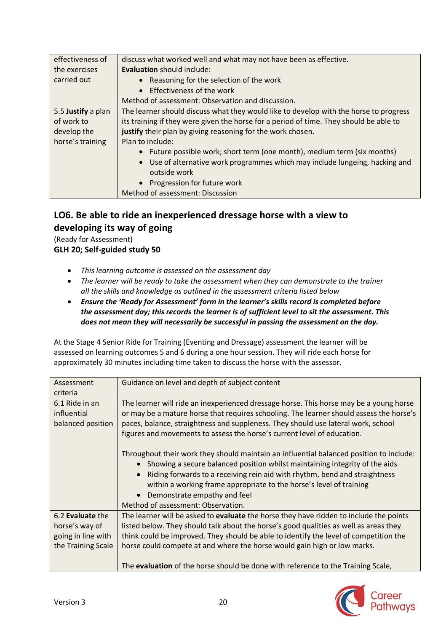| effectiveness of   | discuss what worked well and what may not have been as effective.                       |
|--------------------|-----------------------------------------------------------------------------------------|
| the exercises      | <b>Evaluation</b> should include:                                                       |
| carried out        | • Reasoning for the selection of the work                                               |
|                    | $\bullet$ Effectiveness of the work                                                     |
|                    | Method of assessment: Observation and discussion.                                       |
| 5.5 Justify a plan | The learner should discuss what they would like to develop with the horse to progress   |
| of work to         | its training if they were given the horse for a period of time. They should be able to  |
| develop the        | justify their plan by giving reasoning for the work chosen.                             |
| horse's training   | Plan to include:                                                                        |
|                    | • Future possible work; short term (one month), medium term (six months)                |
|                    | Use of alternative work programmes which may include lungeing, hacking and<br>$\bullet$ |
|                    | outside work                                                                            |
|                    | • Progression for future work                                                           |
|                    | Method of assessment: Discussion                                                        |

# **LO6. Be able to ride an inexperienced dressage horse with a view to developing its way of going**

(Ready for Assessment)

**GLH 20; Self-guided study 50**

- *This learning outcome is assessed on the assessment day*
- *The learner will be ready to take the assessment when they can demonstrate to the trainer all the skills and knowledge as outlined in the assessment criteria listed below*
- *Ensure the 'Ready for Assessment' form in the learner's skills record is completed before the assessment day; this records the learner is of sufficient level to sit the assessment. This does not mean they will necessarily be successful in passing the assessment on the day.*

At the Stage 4 Senior Ride for Training (Eventing and Dressage) assessment the learner will be assessed on learning outcomes 5 and 6 during a one hour session. They will ride each horse for approximately 30 minutes including time taken to discuss the horse with the assessor.

| Assessment                                         | Guidance on level and depth of subject content                                                                                                                                                                                                                                                                                                                                                                     |
|----------------------------------------------------|--------------------------------------------------------------------------------------------------------------------------------------------------------------------------------------------------------------------------------------------------------------------------------------------------------------------------------------------------------------------------------------------------------------------|
| criteria                                           |                                                                                                                                                                                                                                                                                                                                                                                                                    |
| 6.1 Ride in an<br>influential<br>balanced position | The learner will ride an inexperienced dressage horse. This horse may be a young horse<br>or may be a mature horse that requires schooling. The learner should assess the horse's<br>paces, balance, straightness and suppleness. They should use lateral work, school<br>figures and movements to assess the horse's current level of education.                                                                  |
|                                                    | Throughout their work they should maintain an influential balanced position to include:<br>• Showing a secure balanced position whilst maintaining integrity of the aids<br>Riding forwards to a receiving rein aid with rhythm, bend and straightness<br>$\bullet$<br>within a working frame appropriate to the horse's level of training<br>• Demonstrate empathy and feel<br>Method of assessment: Observation. |
| 6.2 Evaluate the                                   | The learner will be asked to evaluate the horse they have ridden to include the points                                                                                                                                                                                                                                                                                                                             |
| horse's way of                                     | listed below. They should talk about the horse's good qualities as well as areas they                                                                                                                                                                                                                                                                                                                              |
| going in line with                                 | think could be improved. They should be able to identify the level of competition the                                                                                                                                                                                                                                                                                                                              |
| the Training Scale                                 | horse could compete at and where the horse would gain high or low marks.                                                                                                                                                                                                                                                                                                                                           |
|                                                    | The evaluation of the horse should be done with reference to the Training Scale,                                                                                                                                                                                                                                                                                                                                   |

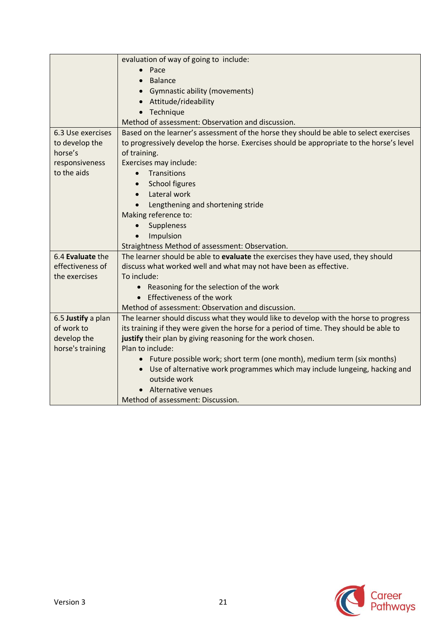|                    | evaluation of way of going to include:                                                   |
|--------------------|------------------------------------------------------------------------------------------|
|                    | $\bullet$ Pace                                                                           |
|                    | <b>Balance</b>                                                                           |
|                    | <b>Gymnastic ability (movements)</b>                                                     |
|                    | Attitude/rideability                                                                     |
|                    | Technique                                                                                |
|                    | Method of assessment: Observation and discussion.                                        |
| 6.3 Use exercises  | Based on the learner's assessment of the horse they should be able to select exercises   |
| to develop the     | to progressively develop the horse. Exercises should be appropriate to the horse's level |
| horse's            | of training.                                                                             |
| responsiveness     | Exercises may include:                                                                   |
| to the aids        | Transitions<br>$\bullet$                                                                 |
|                    | School figures<br>$\bullet$                                                              |
|                    | Lateral work<br>$\bullet$                                                                |
|                    | Lengthening and shortening stride<br>$\bullet$                                           |
|                    | Making reference to:                                                                     |
|                    | Suppleness                                                                               |
|                    | Impulsion                                                                                |
|                    | Straightness Method of assessment: Observation.                                          |
| 6.4 Evaluate the   | The learner should be able to evaluate the exercises they have used, they should         |
| effectiveness of   | discuss what worked well and what may not have been as effective.                        |
| the exercises      | To include:                                                                              |
|                    | • Reasoning for the selection of the work                                                |
|                    | Effectiveness of the work                                                                |
|                    | Method of assessment: Observation and discussion.                                        |
| 6.5 Justify a plan | The learner should discuss what they would like to develop with the horse to progress    |
| of work to         | its training if they were given the horse for a period of time. They should be able to   |
| develop the        | justify their plan by giving reasoning for the work chosen.                              |
| horse's training   | Plan to include:                                                                         |
|                    | Future possible work; short term (one month), medium term (six months)                   |
|                    | Use of alternative work programmes which may include lungeing, hacking and<br>$\bullet$  |
|                    | outside work                                                                             |
|                    | Alternative venues                                                                       |
|                    | Method of assessment: Discussion.                                                        |

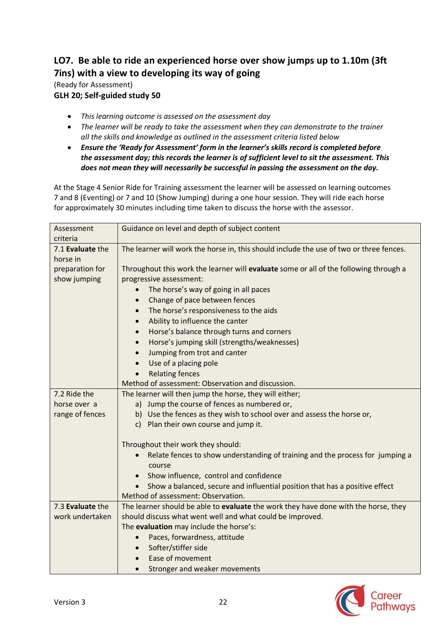# **LO7. Be able to ride an experienced horse over show jumps up to 1.10m (3ft 7ins) with a view to developing its way of going**

(Ready for Assessment) **GLH 20; Self-guided study 50**

- *This learning outcome is assessed on the assessment day*
- *The learner will be ready to take the assessment when they can demonstrate to the trainer all the skills and knowledge as outlined in the assessment criteria listed below*
- *Ensure the 'Ready for Assessment' form in the learner's skills record is completed before the assessment day; this records the learner is of sufficient level to sit the assessment. This does not mean they will necessarily be successful in passing the assessment on the day.*

At the Stage 4 Senior Ride for Training assessment the learner will be assessed on learning outcomes 7 and 8 (Eventing) or 7 and 10 (Show Jumping) during a one hour session. They will ride each horse for approximately 30 minutes including time taken to discuss the horse with the assessor.

| Assessment       | Guidance on level and depth of subject content                                             |
|------------------|--------------------------------------------------------------------------------------------|
| criteria         |                                                                                            |
| 7.1 Evaluate the | The learner will work the horse in, this should include the use of two or three fences.    |
| horse in         |                                                                                            |
| preparation for  | Throughout this work the learner will evaluate some or all of the following through a      |
| show jumping     | progressive assessment:                                                                    |
|                  | The horse's way of going in all paces                                                      |
|                  | Change of pace between fences<br>$\bullet$                                                 |
|                  | The horse's responsiveness to the aids<br>$\bullet$                                        |
|                  | Ability to influence the canter<br>$\bullet$                                               |
|                  | Horse's balance through turns and corners<br>$\bullet$                                     |
|                  | Horse's jumping skill (strengths/weaknesses)<br>$\bullet$                                  |
|                  | Jumping from trot and canter<br>$\bullet$                                                  |
|                  | Use of a placing pole<br>$\bullet$                                                         |
|                  | <b>Relating fences</b><br>$\bullet$                                                        |
|                  | Method of assessment: Observation and discussion.                                          |
| 7.2 Ride the     | The learner will then jump the horse, they will either;                                    |
| horse over a     | a) Jump the course of fences as numbered or,                                               |
| range of fences  | b) Use the fences as they wish to school over and assess the horse or,                     |
|                  | c) Plan their own course and jump it.                                                      |
|                  | Throughout their work they should:                                                         |
|                  | Relate fences to show understanding of training and the process for jumping a<br>$\bullet$ |
|                  | course                                                                                     |
|                  | Show influence, control and confidence<br>$\bullet$                                        |
|                  | Show a balanced, secure and influential position that has a positive effect                |
|                  | Method of assessment: Observation.                                                         |
| 7.3 Evaluate the | The learner should be able to evaluate the work they have done with the horse, they        |
| work undertaken  | should discuss what went well and what could be improved.                                  |
|                  | The evaluation may include the horse's:                                                    |
|                  | Paces, forwardness, attitude<br>$\bullet$                                                  |
|                  | Softer/stiffer side<br>$\bullet$                                                           |
|                  | Ease of movement<br>$\bullet$                                                              |
|                  | Stronger and weaker movements                                                              |

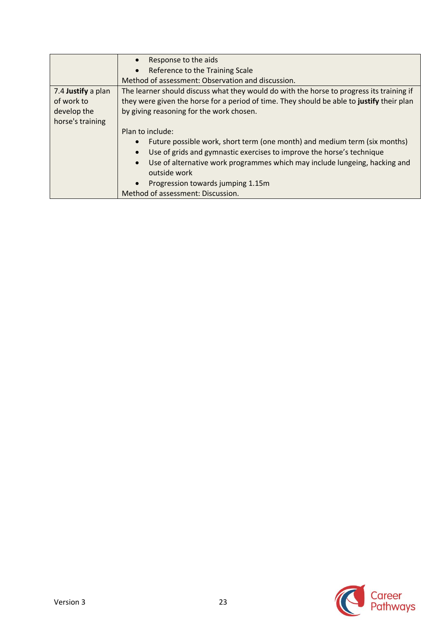|                    | Response to the aids<br>$\bullet$                                                         |
|--------------------|-------------------------------------------------------------------------------------------|
|                    | Reference to the Training Scale<br>$\bullet$                                              |
|                    | Method of assessment: Observation and discussion.                                         |
| 7.4 Justify a plan | The learner should discuss what they would do with the horse to progress its training if  |
| of work to         | they were given the horse for a period of time. They should be able to justify their plan |
| develop the        | by giving reasoning for the work chosen.                                                  |
| horse's training   |                                                                                           |
|                    | Plan to include:                                                                          |
|                    | Future possible work, short term (one month) and medium term (six months)<br>$\bullet$    |
|                    | Use of grids and gymnastic exercises to improve the horse's technique                     |
|                    | Use of alternative work programmes which may include lungeing, hacking and<br>$\bullet$   |
|                    | outside work                                                                              |
|                    | Progression towards jumping 1.15m                                                         |
|                    | Method of assessment: Discussion.                                                         |

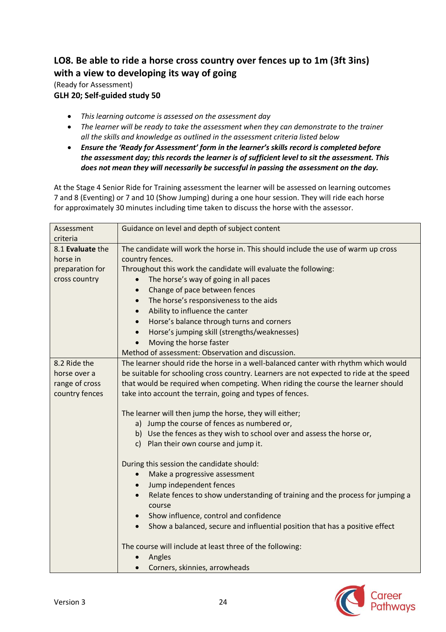## **LO8. Be able to ride a horse cross country over fences up to 1m (3ft 3ins) with a view to developing its way of going**

(Ready for Assessment) **GLH 20; Self-guided study 50**

- *This learning outcome is assessed on the assessment day*
- *The learner will be ready to take the assessment when they can demonstrate to the trainer all the skills and knowledge as outlined in the assessment criteria listed below*
- *Ensure the 'Ready for Assessment' form in the learner's skills record is completed before the assessment day; this records the learner is of sufficient level to sit the assessment. This does not mean they will necessarily be successful in passing the assessment on the day.*

At the Stage 4 Senior Ride for Training assessment the learner will be assessed on learning outcomes 7 and 8 (Eventing) or 7 and 10 (Show Jumping) during a one hour session. They will ride each horse for approximately 30 minutes including time taken to discuss the horse with the assessor.

| Assessment<br>criteria                                           | Guidance on level and depth of subject content                                                                                                                                                                                                                                                                                                                                                                                                                                                             |
|------------------------------------------------------------------|------------------------------------------------------------------------------------------------------------------------------------------------------------------------------------------------------------------------------------------------------------------------------------------------------------------------------------------------------------------------------------------------------------------------------------------------------------------------------------------------------------|
| 8.1 Evaluate the<br>horse in<br>preparation for<br>cross country | The candidate will work the horse in. This should include the use of warm up cross<br>country fences.<br>Throughout this work the candidate will evaluate the following:<br>The horse's way of going in all paces<br>$\bullet$<br>Change of pace between fences<br>$\bullet$<br>The horse's responsiveness to the aids<br>$\bullet$<br>Ability to influence the canter<br>$\bullet$<br>Horse's balance through turns and corners<br>$\bullet$<br>Horse's jumping skill (strengths/weaknesses)<br>$\bullet$ |
|                                                                  | Moving the horse faster<br>$\bullet$<br>Method of assessment: Observation and discussion.                                                                                                                                                                                                                                                                                                                                                                                                                  |
| 8.2 Ride the<br>horse over a<br>range of cross<br>country fences | The learner should ride the horse in a well-balanced canter with rhythm which would<br>be suitable for schooling cross country. Learners are not expected to ride at the speed<br>that would be required when competing. When riding the course the learner should<br>take into account the terrain, going and types of fences.<br>The learner will then jump the horse, they will either;                                                                                                                 |
|                                                                  | a) Jump the course of fences as numbered or,<br>b) Use the fences as they wish to school over and assess the horse or,<br>c) Plan their own course and jump it.                                                                                                                                                                                                                                                                                                                                            |
|                                                                  | During this session the candidate should:<br>Make a progressive assessment<br>$\bullet$<br>Jump independent fences<br>$\bullet$<br>Relate fences to show understanding of training and the process for jumping a<br>$\bullet$<br>course<br>Show influence, control and confidence<br>Show a balanced, secure and influential position that has a positive effect                                                                                                                                           |
|                                                                  | The course will include at least three of the following:<br>Angles<br>Corners, skinnies, arrowheads                                                                                                                                                                                                                                                                                                                                                                                                        |

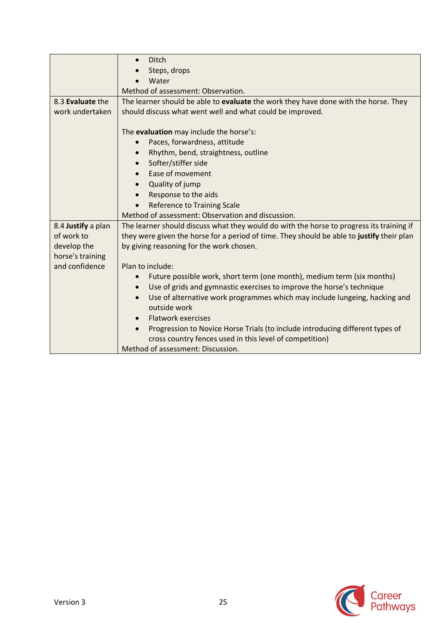|                    | Ditch<br>$\bullet$                                                                        |
|--------------------|-------------------------------------------------------------------------------------------|
|                    | Steps, drops                                                                              |
|                    | Water                                                                                     |
|                    | Method of assessment: Observation.                                                        |
| 8.3 Evaluate the   | The learner should be able to evaluate the work they have done with the horse. They       |
| work undertaken    | should discuss what went well and what could be improved.                                 |
|                    |                                                                                           |
|                    | The evaluation may include the horse's:                                                   |
|                    | Paces, forwardness, attitude<br>$\bullet$                                                 |
|                    | Rhythm, bend, straightness, outline<br>$\bullet$                                          |
|                    | Softer/stiffer side<br>$\bullet$                                                          |
|                    | Ease of movement<br>$\bullet$                                                             |
|                    | Quality of jump<br>$\bullet$                                                              |
|                    | Response to the aids                                                                      |
|                    | <b>Reference to Training Scale</b>                                                        |
|                    | Method of assessment: Observation and discussion.                                         |
| 8.4 Justify a plan | The learner should discuss what they would do with the horse to progress its training if  |
| of work to         | they were given the horse for a period of time. They should be able to justify their plan |
| develop the        | by giving reasoning for the work chosen.                                                  |
| horse's training   |                                                                                           |
| and confidence     | Plan to include:                                                                          |
|                    | Future possible work, short term (one month), medium term (six months)<br>$\bullet$       |
|                    | Use of grids and gymnastic exercises to improve the horse's technique<br>$\bullet$        |
|                    | Use of alternative work programmes which may include lungeing, hacking and<br>$\bullet$   |
|                    | outside work                                                                              |
|                    | <b>Flatwork exercises</b><br>$\bullet$                                                    |
|                    | Progression to Novice Horse Trials (to include introducing different types of             |
|                    | cross country fences used in this level of competition)                                   |
|                    | Method of assessment: Discussion.                                                         |

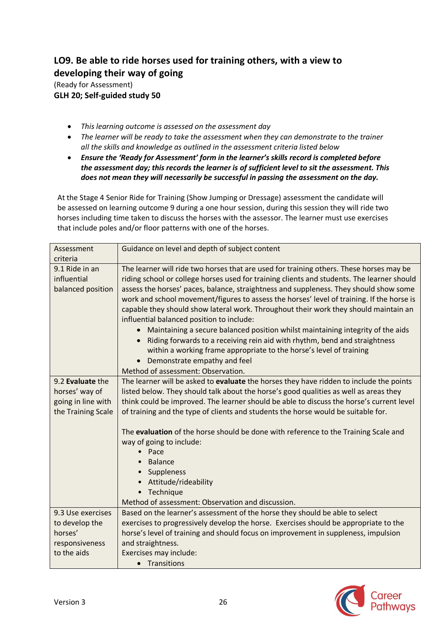# **LO9. Be able to ride horses used for training others, with a view to developing their way of going**

(Ready for Assessment) **GLH 20; Self-guided study 50**

- *This learning outcome is assessed on the assessment day*
- *The learner will be ready to take the assessment when they can demonstrate to the trainer all the skills and knowledge as outlined in the assessment criteria listed below*
- *Ensure the 'Ready for Assessment' form in the learner's skills record is completed before the assessment day; this records the learner is of sufficient level to sit the assessment. This does not mean they will necessarily be successful in passing the assessment on the day.*

At the Stage 4 Senior Ride for Training (Show Jumping or Dressage) assessment the candidate will be assessed on learning outcome 9 during a one hour session, during this session they will ride two horses including time taken to discuss the horses with the assessor. The learner must use exercises that include poles and/or floor patterns with one of the horses.

| Assessment<br>criteria                             | Guidance on level and depth of subject content                                                                                                                                                                                                                                                                                                                                                                                                                                                                                                                                                                                                                                                                                                                                                                                 |
|----------------------------------------------------|--------------------------------------------------------------------------------------------------------------------------------------------------------------------------------------------------------------------------------------------------------------------------------------------------------------------------------------------------------------------------------------------------------------------------------------------------------------------------------------------------------------------------------------------------------------------------------------------------------------------------------------------------------------------------------------------------------------------------------------------------------------------------------------------------------------------------------|
| 9.1 Ride in an<br>influential<br>balanced position | The learner will ride two horses that are used for training others. These horses may be<br>riding school or college horses used for training clients and students. The learner should<br>assess the horses' paces, balance, straightness and suppleness. They should show some<br>work and school movement/figures to assess the horses' level of training. If the horse is<br>capable they should show lateral work. Throughout their work they should maintain an<br>influential balanced position to include:<br>Maintaining a secure balanced position whilst maintaining integrity of the aids<br>Riding forwards to a receiving rein aid with rhythm, bend and straightness<br>within a working frame appropriate to the horse's level of training<br>Demonstrate empathy and feel<br>Method of assessment: Observation. |
| 9.2 Evaluate the                                   | The learner will be asked to evaluate the horses they have ridden to include the points                                                                                                                                                                                                                                                                                                                                                                                                                                                                                                                                                                                                                                                                                                                                        |
| horses' way of                                     | listed below. They should talk about the horse's good qualities as well as areas they                                                                                                                                                                                                                                                                                                                                                                                                                                                                                                                                                                                                                                                                                                                                          |
| going in line with                                 | think could be improved. The learner should be able to discuss the horse's current level                                                                                                                                                                                                                                                                                                                                                                                                                                                                                                                                                                                                                                                                                                                                       |
| the Training Scale                                 | of training and the type of clients and students the horse would be suitable for.                                                                                                                                                                                                                                                                                                                                                                                                                                                                                                                                                                                                                                                                                                                                              |
|                                                    | The evaluation of the horse should be done with reference to the Training Scale and<br>way of going to include:<br>Pace<br><b>Balance</b><br>Suppleness<br>Attitude/rideability<br>• Technique<br>Method of assessment: Observation and discussion.                                                                                                                                                                                                                                                                                                                                                                                                                                                                                                                                                                            |
| 9.3 Use exercises                                  | Based on the learner's assessment of the horse they should be able to select                                                                                                                                                                                                                                                                                                                                                                                                                                                                                                                                                                                                                                                                                                                                                   |
| to develop the                                     | exercises to progressively develop the horse. Exercises should be appropriate to the                                                                                                                                                                                                                                                                                                                                                                                                                                                                                                                                                                                                                                                                                                                                           |
| horses'                                            | horse's level of training and should focus on improvement in suppleness, impulsion                                                                                                                                                                                                                                                                                                                                                                                                                                                                                                                                                                                                                                                                                                                                             |
| responsiveness                                     | and straightness.                                                                                                                                                                                                                                                                                                                                                                                                                                                                                                                                                                                                                                                                                                                                                                                                              |
| to the aids                                        | Exercises may include:                                                                                                                                                                                                                                                                                                                                                                                                                                                                                                                                                                                                                                                                                                                                                                                                         |
|                                                    | • Transitions                                                                                                                                                                                                                                                                                                                                                                                                                                                                                                                                                                                                                                                                                                                                                                                                                  |

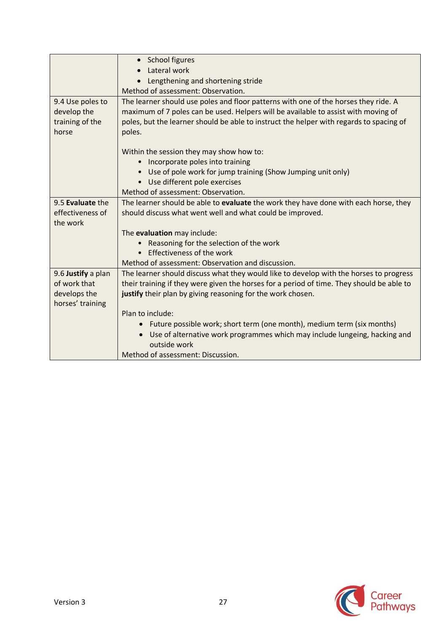|                    | • School figures                                                                          |
|--------------------|-------------------------------------------------------------------------------------------|
|                    | Lateral work                                                                              |
|                    | Lengthening and shortening stride                                                         |
|                    | Method of assessment: Observation.                                                        |
| 9.4 Use poles to   | The learner should use poles and floor patterns with one of the horses they ride. A       |
| develop the        | maximum of 7 poles can be used. Helpers will be available to assist with moving of        |
| training of the    | poles, but the learner should be able to instruct the helper with regards to spacing of   |
| horse              | poles.                                                                                    |
|                    |                                                                                           |
|                    | Within the session they may show how to:                                                  |
|                    | Incorporate poles into training<br>$\bullet$                                              |
|                    | Use of pole work for jump training (Show Jumping unit only)                               |
|                    | Use different pole exercises                                                              |
|                    | Method of assessment: Observation.                                                        |
| 9.5 Evaluate the   | The learner should be able to evaluate the work they have done with each horse, they      |
| effectiveness of   | should discuss what went well and what could be improved.                                 |
| the work           |                                                                                           |
|                    | The evaluation may include:                                                               |
|                    | Reasoning for the selection of the work                                                   |
|                    | Effectiveness of the work                                                                 |
|                    | Method of assessment: Observation and discussion.                                         |
| 9.6 Justify a plan | The learner should discuss what they would like to develop with the horses to progress    |
| of work that       | their training if they were given the horses for a period of time. They should be able to |
| develops the       | justify their plan by giving reasoning for the work chosen.                               |
| horses' training   |                                                                                           |
|                    | Plan to include:                                                                          |
|                    | Future possible work; short term (one month), medium term (six months)<br>$\bullet$       |
|                    | Use of alternative work programmes which may include lungeing, hacking and                |
|                    | outside work                                                                              |
|                    | Method of assessment: Discussion.                                                         |

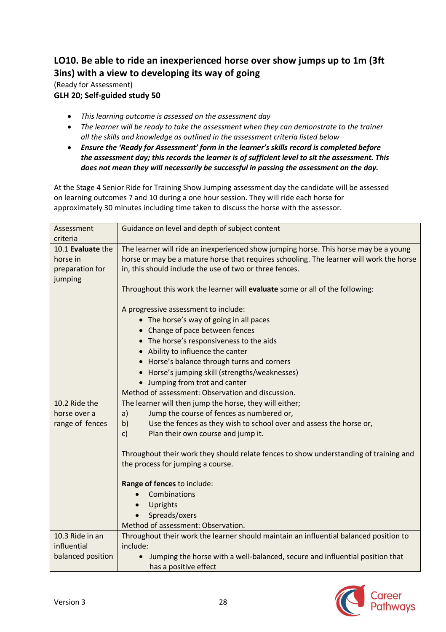# **LO10. Be able to ride an inexperienced horse over show jumps up to 1m (3ft 3ins) with a view to developing its way of going**

(Ready for Assessment) **GLH 20; Self-guided study 50**

- *This learning outcome is assessed on the assessment day*
- *The learner will be ready to take the assessment when they can demonstrate to the trainer all the skills and knowledge as outlined in the assessment criteria listed below*
- *Ensure the 'Ready for Assessment' form in the learner's skills record is completed before the assessment day; this records the learner is of sufficient level to sit the assessment. This does not mean they will necessarily be successful in passing the assessment on the day.*

At the Stage 4 Senior Ride for Training Show Jumping assessment day the candidate will be assessed on learning outcomes 7 and 10 during a one hour session. They will ride each horse for approximately 30 minutes including time taken to discuss the horse with the assessor.

| Assessment<br>criteria                                      | Guidance on level and depth of subject content                                                                                                                                                                                             |
|-------------------------------------------------------------|--------------------------------------------------------------------------------------------------------------------------------------------------------------------------------------------------------------------------------------------|
| 10.1 Evaluate the<br>horse in<br>preparation for<br>jumping | The learner will ride an inexperienced show jumping horse. This horse may be a young<br>horse or may be a mature horse that requires schooling. The learner will work the horse<br>in, this should include the use of two or three fences. |
|                                                             | Throughout this work the learner will evaluate some or all of the following:                                                                                                                                                               |
|                                                             | A progressive assessment to include:<br>• The horse's way of going in all paces                                                                                                                                                            |
|                                                             | • Change of pace between fences                                                                                                                                                                                                            |
|                                                             | • The horse's responsiveness to the aids                                                                                                                                                                                                   |
|                                                             | • Ability to influence the canter                                                                                                                                                                                                          |
|                                                             | • Horse's balance through turns and corners                                                                                                                                                                                                |
|                                                             | • Horse's jumping skill (strengths/weaknesses)                                                                                                                                                                                             |
|                                                             | • Jumping from trot and canter                                                                                                                                                                                                             |
|                                                             | Method of assessment: Observation and discussion.                                                                                                                                                                                          |
| 10.2 Ride the                                               | The learner will then jump the horse, they will either;                                                                                                                                                                                    |
| horse over a                                                | Jump the course of fences as numbered or,<br>a)                                                                                                                                                                                            |
| range of fences                                             | Use the fences as they wish to school over and assess the horse or,<br>b)                                                                                                                                                                  |
|                                                             | c)<br>Plan their own course and jump it.                                                                                                                                                                                                   |
|                                                             | Throughout their work they should relate fences to show understanding of training and<br>the process for jumping a course.                                                                                                                 |
|                                                             | Range of fences to include:                                                                                                                                                                                                                |
|                                                             | Combinations                                                                                                                                                                                                                               |
|                                                             | Uprights<br>$\bullet$                                                                                                                                                                                                                      |
|                                                             | Spreads/oxers                                                                                                                                                                                                                              |
|                                                             | Method of assessment: Observation.                                                                                                                                                                                                         |
| 10.3 Ride in an                                             | Throughout their work the learner should maintain an influential balanced position to                                                                                                                                                      |
| influential                                                 | include:                                                                                                                                                                                                                                   |
| balanced position                                           | Jumping the horse with a well-balanced, secure and influential position that                                                                                                                                                               |
|                                                             | has a positive effect                                                                                                                                                                                                                      |